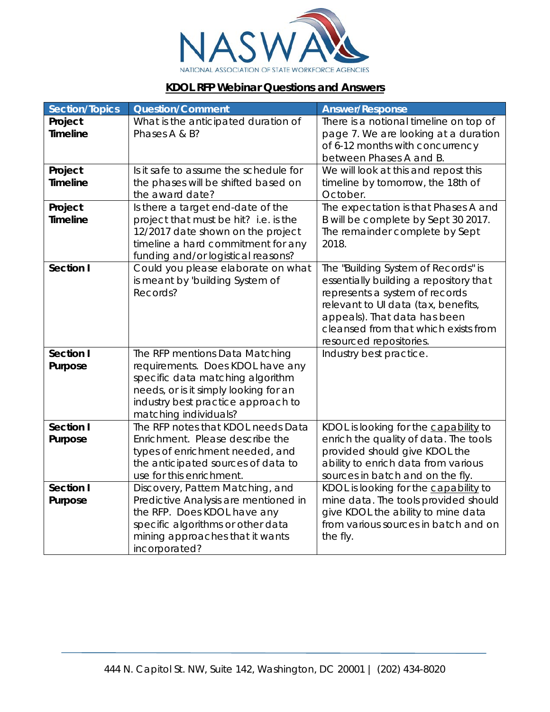

## **KDOL RFP Webinar Questions and Answers**

| <b>Section/Topics</b>      | <b>Question/Comment</b>                                                  | <b>Answer/Response</b>                                                         |
|----------------------------|--------------------------------------------------------------------------|--------------------------------------------------------------------------------|
| Project<br><b>Timeline</b> | What is the anticipated duration of<br>Phases A & B?                     | There is a notional timeline on top of<br>page 7. We are looking at a duration |
|                            |                                                                          | of 6-12 months with concurrency<br>between Phases A and B.                     |
| Project                    | Is it safe to assume the schedule for                                    | We will look at this and repost this                                           |
| <b>Timeline</b>            | the phases will be shifted based on                                      | timeline by tomorrow, the 18th of                                              |
|                            | the award date?                                                          | October.                                                                       |
| Project                    | Is there a target end-date of the                                        | The expectation is that Phases A and                                           |
| <b>Timeline</b>            | project that must be hit? i.e. is the                                    | B will be complete by Sept 30 2017.                                            |
|                            | 12/2017 date shown on the project                                        | The remainder complete by Sept<br>2018.                                        |
|                            | timeline a hard commitment for any<br>funding and/or logistical reasons? |                                                                                |
| <b>Section I</b>           | Could you please elaborate on what                                       | The "Building System of Records" is                                            |
|                            | is meant by 'building System of                                          | essentially building a repository that                                         |
|                            | Records?                                                                 | represents a system of records                                                 |
|                            |                                                                          | relevant to UI data (tax, benefits,                                            |
|                            |                                                                          | appeals). That data has been                                                   |
|                            |                                                                          | cleansed from that which exists from                                           |
|                            |                                                                          | resourced repositories.                                                        |
| Section I                  | The RFP mentions Data Matching                                           | Industry best practice.                                                        |
| Purpose                    | requirements. Does KDOL have any<br>specific data matching algorithm     |                                                                                |
|                            | needs, or is it simply looking for an                                    |                                                                                |
|                            | industry best practice approach to                                       |                                                                                |
|                            | matching individuals?                                                    |                                                                                |
| Section I                  | The RFP notes that KDOL needs Data                                       | KDOL is looking for the capability to                                          |
| Purpose                    | Enrichment. Please describe the                                          | enrich the quality of data. The tools                                          |
|                            | types of enrichment needed, and                                          | provided should give KDOL the                                                  |
|                            | the anticipated sources of data to                                       | ability to enrich data from various                                            |
|                            | use for this enrichment.                                                 | sources in batch and on the fly.                                               |
| Section I<br>Purpose       | Discovery, Pattern Matching, and<br>Predictive Analysis are mentioned in | KDOL is looking for the capability to<br>mine data. The tools provided should  |
|                            | the RFP. Does KDOL have any                                              | give KDOL the ability to mine data                                             |
|                            | specific algorithms or other data                                        | from various sources in batch and on                                           |
|                            | mining approaches that it wants                                          | the fly.                                                                       |
|                            | incorporated?                                                            |                                                                                |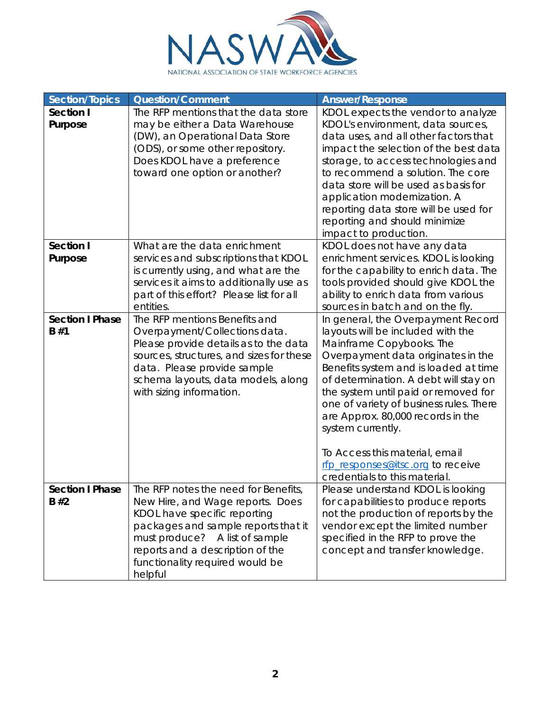

| <b>Section/Topics</b>         | <b>Question/Comment</b>                                                                                                                                                                                                                                             | <b>Answer/Response</b>                                                                                                                                                                                                                                                                                                                                                                                                                                                           |
|-------------------------------|---------------------------------------------------------------------------------------------------------------------------------------------------------------------------------------------------------------------------------------------------------------------|----------------------------------------------------------------------------------------------------------------------------------------------------------------------------------------------------------------------------------------------------------------------------------------------------------------------------------------------------------------------------------------------------------------------------------------------------------------------------------|
| Section I<br>Purpose          | The RFP mentions that the data store<br>may be either a Data Warehouse<br>(DW), an Operational Data Store<br>(ODS), or some other repository.<br>Does KDOL have a preference<br>toward one option or another?                                                       | KDOL expects the vendor to analyze<br>KDOL's environment, data sources,<br>data uses, and all other factors that<br>impact the selection of the best data<br>storage, to access technologies and<br>to recommend a solution. The core<br>data store will be used as basis for<br>application modernization. A<br>reporting data store will be used for<br>reporting and should minimize<br>impact to production.                                                                 |
| Section I<br>Purpose          | What are the data enrichment<br>services and subscriptions that KDOL<br>is currently using, and what are the<br>services it aims to additionally use as<br>part of this effort? Please list for all<br>entities.                                                    | KDOL does not have any data<br>enrichment services. KDOL is looking<br>for the capability to enrich data. The<br>tools provided should give KDOL the<br>ability to enrich data from various<br>sources in batch and on the fly.                                                                                                                                                                                                                                                  |
| <b>Section I Phase</b><br>B#1 | The RFP mentions Benefits and<br>Overpayment/Collections data.<br>Please provide details as to the data<br>sources, structures, and sizes for these<br>data. Please provide sample<br>schema layouts, data models, along<br>with sizing information.                | In general, the Overpayment Record<br>layouts will be included with the<br>Mainframe Copybooks. The<br>Overpayment data originates in the<br>Benefits system and is loaded at time<br>of determination. A debt will stay on<br>the system until paid or removed for<br>one of variety of business rules. There<br>are Approx. 80,000 records in the<br>system currently.<br>To Access this material, email<br>rfp_responses@itsc.org to receive<br>credentials to this material. |
| <b>Section I Phase</b><br>B#2 | The RFP notes the need for Benefits,<br>New Hire, and Wage reports. Does<br>KDOL have specific reporting<br>packages and sample reports that it<br>must produce? A list of sample<br>reports and a description of the<br>functionality required would be<br>helpful | Please understand KDOL is looking<br>for capabilities to produce reports<br>not the production of reports by the<br>vendor except the limited number<br>specified in the RFP to prove the<br>concept and transfer knowledge.                                                                                                                                                                                                                                                     |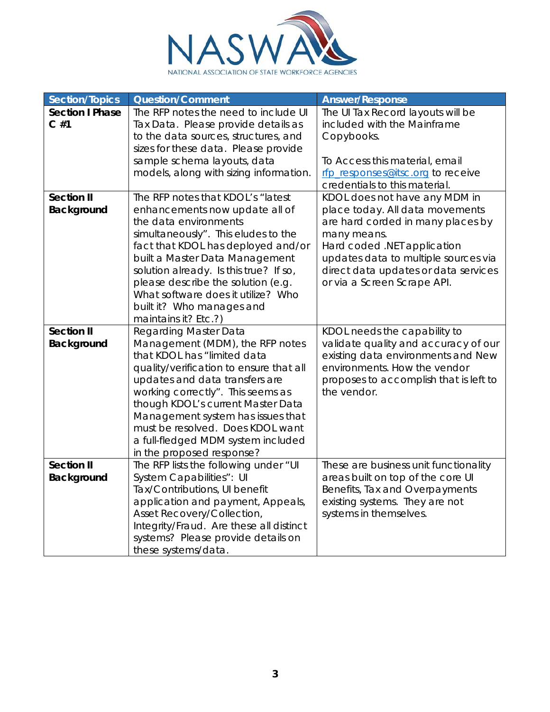

| <b>Section/Topics</b>            | <b>Question/Comment</b>                                                                                                                                                                                                                                                                                                                                                                           | <b>Answer/Response</b>                                                                                                                                                                                                                                             |
|----------------------------------|---------------------------------------------------------------------------------------------------------------------------------------------------------------------------------------------------------------------------------------------------------------------------------------------------------------------------------------------------------------------------------------------------|--------------------------------------------------------------------------------------------------------------------------------------------------------------------------------------------------------------------------------------------------------------------|
| <b>Section I Phase</b><br>$C$ #1 | The RFP notes the need to include UI<br>Tax Data. Please provide details as<br>to the data sources, structures, and<br>sizes for these data. Please provide<br>sample schema layouts, data<br>models, along with sizing information.                                                                                                                                                              | The UI Tax Record layouts will be<br>included with the Mainframe<br>Copybooks.<br>To Access this material, email<br>rfp responses@itsc.org to receive                                                                                                              |
|                                  |                                                                                                                                                                                                                                                                                                                                                                                                   | credentials to this material.                                                                                                                                                                                                                                      |
| <b>Section II</b><br>Background  | The RFP notes that KDOL's "latest<br>enhancements now update all of<br>the data environments<br>simultaneously". This eludes to the<br>fact that KDOL has deployed and/or<br>built a Master Data Management<br>solution already. Is this true? If so,<br>please describe the solution (e.g.<br>What software does it utilize? Who<br>built it? Who manages and<br>maintains it? Etc.?)            | KDOL does not have any MDM in<br>place today. All data movements<br>are hard corded in many places by<br>many means.<br>Hard coded .NET application<br>updates data to multiple sources via<br>direct data updates or data services<br>or via a Screen Scrape API. |
| <b>Section II</b><br>Background  | <b>Regarding Master Data</b><br>Management (MDM), the RFP notes<br>that KDOL has "limited data<br>quality/verification to ensure that all<br>updates and data transfers are<br>working correctly". This seems as<br>though KDOL's current Master Data<br>Management system has issues that<br>must be resolved. Does KDOL want<br>a full-fledged MDM system included<br>in the proposed response? | KDOL needs the capability to<br>validate quality and accuracy of our<br>existing data environments and New<br>environments. How the vendor<br>proposes to accomplish that is left to<br>the vendor.                                                                |
| <b>Section II</b><br>Background  | The RFP lists the following under "UI<br>System Capabilities": UI<br>Tax/Contributions, UI benefit<br>application and payment, Appeals,<br>Asset Recovery/Collection,<br>Integrity/Fraud. Are these all distinct<br>systems? Please provide details on<br>these systems/data.                                                                                                                     | These are business unit functionality<br>areas built on top of the core UI<br>Benefits, Tax and Overpayments<br>existing systems. They are not<br>systems in themselves.                                                                                           |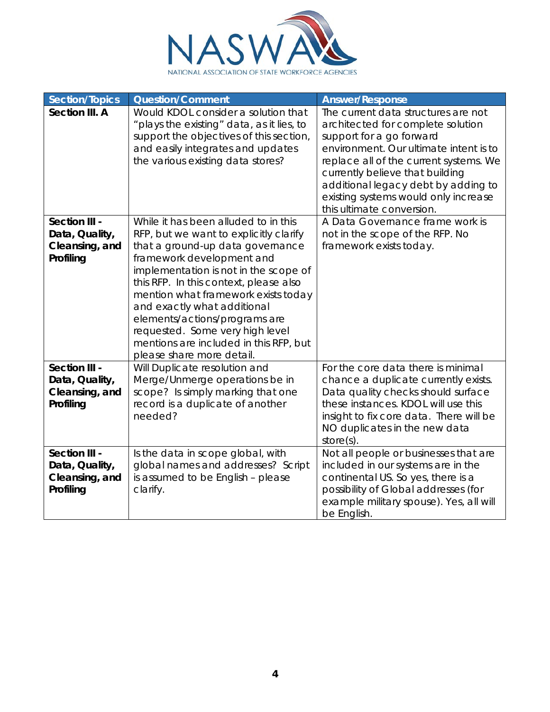

| <b>Section/Topics</b>                                          | <b>Question/Comment</b>                                                                                                                                                                                                                                                                                                                                                                                                                             | <b>Answer/Response</b>                                                                                                                                                                                                                                                                                                                  |
|----------------------------------------------------------------|-----------------------------------------------------------------------------------------------------------------------------------------------------------------------------------------------------------------------------------------------------------------------------------------------------------------------------------------------------------------------------------------------------------------------------------------------------|-----------------------------------------------------------------------------------------------------------------------------------------------------------------------------------------------------------------------------------------------------------------------------------------------------------------------------------------|
| Section III. A                                                 | Would KDOL consider a solution that<br>"plays the existing" data, as it lies, to<br>support the objectives of this section,<br>and easily integrates and updates<br>the various existing data stores?                                                                                                                                                                                                                                               | The current data structures are not<br>architected for complete solution<br>support for a go forward<br>environment. Our ultimate intent is to<br>replace all of the current systems. We<br>currently believe that building<br>additional legacy debt by adding to<br>existing systems would only increase<br>this ultimate conversion. |
| Section III -<br>Data, Quality,<br>Cleansing, and<br>Profiling | While it has been alluded to in this<br>RFP, but we want to explicitly clarify<br>that a ground-up data governance<br>framework development and<br>implementation is not in the scope of<br>this RFP. In this context, please also<br>mention what framework exists today<br>and exactly what additional<br>elements/actions/programs are<br>requested. Some very high level<br>mentions are included in this RFP, but<br>please share more detail. | A Data Governance frame work is<br>not in the scope of the RFP. No<br>framework exists today.                                                                                                                                                                                                                                           |
| Section III -<br>Data, Quality,<br>Cleansing, and<br>Profiling | Will Duplicate resolution and<br>Merge/Unmerge operations be in<br>scope? Is simply marking that one<br>record is a duplicate of another<br>needed?                                                                                                                                                                                                                                                                                                 | For the core data there is minimal<br>chance a duplicate currently exists.<br>Data quality checks should surface<br>these instances. KDOL will use this<br>insight to fix core data. There will be<br>NO duplicates in the new data<br>$store(s)$ .                                                                                     |
| Section III -<br>Data, Quality,<br>Cleansing, and<br>Profiling | Is the data in scope global, with<br>global names and addresses? Script<br>is assumed to be English - please<br>clarify.                                                                                                                                                                                                                                                                                                                            | Not all people or businesses that are<br>included in our systems are in the<br>continental US. So yes, there is a<br>possibility of Global addresses (for<br>example military spouse). Yes, all will<br>be English.                                                                                                                     |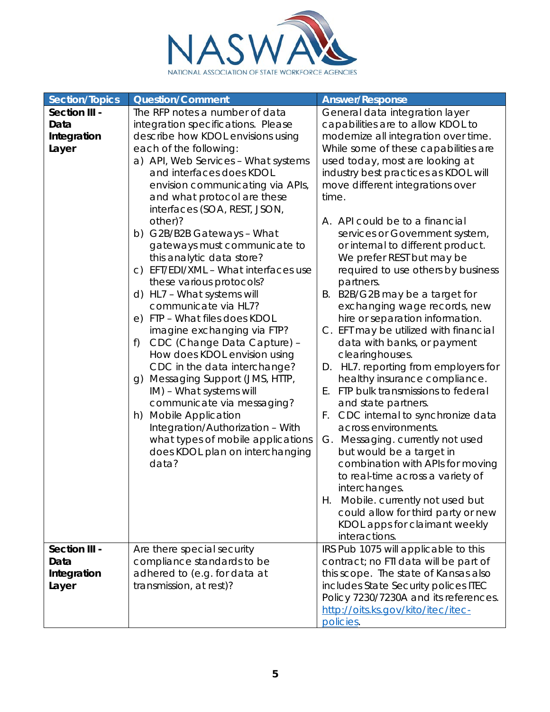

| <b>Section/Topics</b> | <b>Question/Comment</b>                           | <b>Answer/Response</b>                  |
|-----------------------|---------------------------------------------------|-----------------------------------------|
| Section III -         | The RFP notes a number of data                    | General data integration layer          |
| Data                  | integration specifications. Please                | capabilities are to allow KDOL to       |
| Integration           | describe how KDOL envisions using                 | modernize all integration over time.    |
| Layer                 | each of the following:                            | While some of these capabilities are    |
|                       | a) API, Web Services - What systems               | used today, most are looking at         |
|                       | and interfaces does KDOL                          | industry best practices as KDOL will    |
|                       | envision communicating via APIs,                  | move different integrations over        |
|                       | and what protocol are these                       | time.                                   |
|                       | interfaces (SOA, REST, JSON,                      |                                         |
|                       | other)?                                           | A. API could be to a financial          |
|                       | b) G2B/B2B Gateways - What                        | services or Government system,          |
|                       | gateways must communicate to                      | or internal to different product.       |
|                       | this analytic data store?                         | We prefer REST but may be               |
|                       | EFT/EDI/XML - What interfaces use<br>$\circ$ )    | required to use others by business      |
|                       | these various protocols?                          | partners.                               |
|                       | d) HL7 - What systems will                        | B2B/G2B may be a target for<br>В.       |
|                       | communicate via HL7?                              | exchanging wage records, new            |
|                       | e) FTP - What files does KDOL                     | hire or separation information.         |
|                       | imagine exchanging via FTP?                       | C. EFT may be utilized with financial   |
|                       | CDC (Change Data Capture) -<br>f)                 | data with banks, or payment             |
|                       | How does KDOL envision using                      | clearinghouses.                         |
|                       | CDC in the data interchange?                      | HL7. reporting from employers for<br>D. |
|                       | Messaging Support (JMS, HTTP,<br>$\mathfrak{g}$ ) | healthy insurance compliance.           |
|                       | IM) - What systems will                           | FTP bulk transmissions to federal<br>Ε. |
|                       | communicate via messaging?                        | and state partners.                     |
|                       | h) Mobile Application                             | F.<br>CDC internal to synchronize data  |
|                       | Integration/Authorization - With                  | across environments.                    |
|                       | what types of mobile applications                 | Messaging. currently not used<br>G.     |
|                       | does KDOL plan on interchanging                   | but would be a target in                |
|                       | data?                                             | combination with APIs for moving        |
|                       |                                                   | to real-time across a variety of        |
|                       |                                                   | interchanges.                           |
|                       |                                                   | Mobile. currently not used but<br>Н.    |
|                       |                                                   | could allow for third party or new      |
|                       |                                                   | KDOL apps for claimant weekly           |
|                       |                                                   | interactions.                           |
| Section III -         | Are there special security                        | IRS Pub 1075 will applicable to this    |
| Data                  | compliance standards to be                        | contract; no FTI data will be part of   |
| Integration           | adhered to (e.g. for data at                      | this scope. The state of Kansas also    |
| Layer                 | transmission, at rest)?                           | includes State Security polices ITEC    |
|                       |                                                   | Policy 7230/7230A and its references.   |
|                       |                                                   | http://oits.ks.gov/kito/itec/itec-      |
|                       |                                                   | policies.                               |
|                       |                                                   |                                         |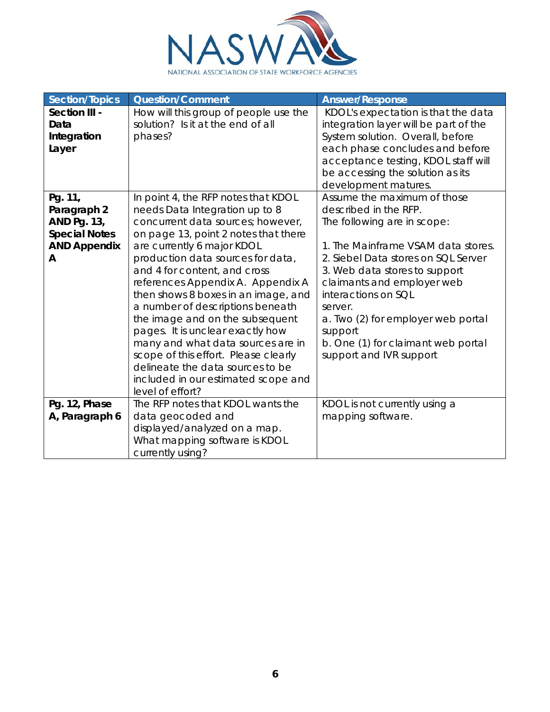

| Section/Topics                                                                            | <b>Question/Comment</b>                                                                                                                                                                                                                                                                                                                                                                                                                                                                                                                                                                                                  | <b>Answer/Response</b>                                                                                                                                                                                                                                                                                                                                                              |
|-------------------------------------------------------------------------------------------|--------------------------------------------------------------------------------------------------------------------------------------------------------------------------------------------------------------------------------------------------------------------------------------------------------------------------------------------------------------------------------------------------------------------------------------------------------------------------------------------------------------------------------------------------------------------------------------------------------------------------|-------------------------------------------------------------------------------------------------------------------------------------------------------------------------------------------------------------------------------------------------------------------------------------------------------------------------------------------------------------------------------------|
| Section III -<br>Data<br>Integration<br>Layer                                             | How will this group of people use the<br>solution? Is it at the end of all<br>phases?                                                                                                                                                                                                                                                                                                                                                                                                                                                                                                                                    | KDOL's expectation is that the data<br>integration layer will be part of the<br>System solution. Overall, before<br>each phase concludes and before<br>acceptance testing, KDOL staff will<br>be accessing the solution as its<br>development matures.                                                                                                                              |
| Pg. 11,<br>Paragraph 2<br>AND Pg. 13,<br><b>Special Notes</b><br><b>AND Appendix</b><br>A | In point 4, the RFP notes that KDOL<br>needs Data Integration up to 8<br>concurrent data sources; however,<br>on page 13, point 2 notes that there<br>are currently 6 major KDOL<br>production data sources for data,<br>and 4 for content, and cross<br>references Appendix A. Appendix A<br>then shows 8 boxes in an image, and<br>a number of descriptions beneath<br>the image and on the subsequent<br>pages. It is unclear exactly how<br>many and what data sources are in<br>scope of this effort. Please clearly<br>delineate the data sources to be<br>included in our estimated scope and<br>level of effort? | Assume the maximum of those<br>described in the RFP.<br>The following are in scope:<br>1. The Mainframe VSAM data stores.<br>2. Siebel Data stores on SQL Server<br>3. Web data stores to support<br>claimants and employer web<br>interactions on SQL<br>server.<br>a. Two (2) for employer web portal<br>support<br>b. One (1) for claimant web portal<br>support and IVR support |
| Pg. 12, Phase<br>A, Paragraph 6                                                           | The RFP notes that KDOL wants the<br>data geocoded and<br>displayed/analyzed on a map.<br>What mapping software is KDOL<br>currently using?                                                                                                                                                                                                                                                                                                                                                                                                                                                                              | KDOL is not currently using a<br>mapping software.                                                                                                                                                                                                                                                                                                                                  |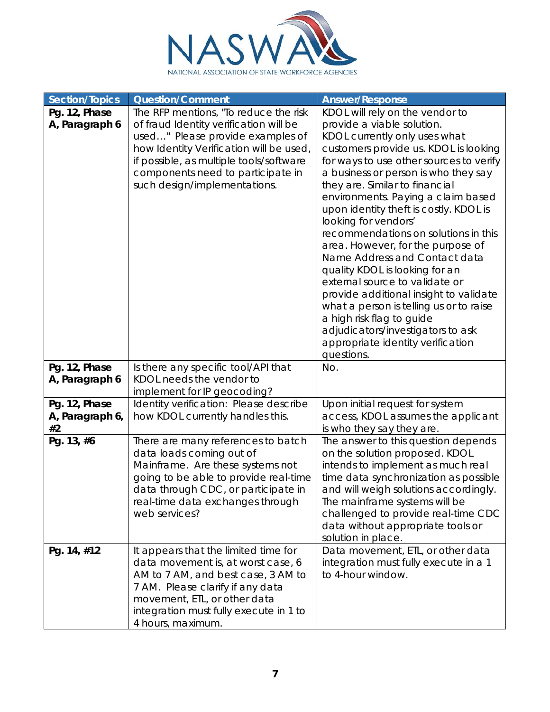

| <b>Section/Topics</b>           | <b>Question/Comment</b>                                         | <b>Answer/Response</b>                                               |
|---------------------------------|-----------------------------------------------------------------|----------------------------------------------------------------------|
| Pg. 12, Phase                   | The RFP mentions, "To reduce the risk                           | KDOL will rely on the vendor to                                      |
| A, Paragraph 6                  | of fraud Identity verification will be                          | provide a viable solution.                                           |
|                                 | used" Please provide examples of                                | KDOL currently only uses what                                        |
|                                 | how Identity Verification will be used,                         | customers provide us. KDOL is looking                                |
|                                 | if possible, as multiple tools/software                         | for ways to use other sources to verify                              |
|                                 | components need to participate in                               | a business or person is who they say                                 |
|                                 | such design/implementations.                                    | they are. Similar to financial                                       |
|                                 |                                                                 | environments. Paying a claim based                                   |
|                                 |                                                                 | upon identity theft is costly. KDOL is<br>looking for vendors'       |
|                                 |                                                                 | recommendations on solutions in this                                 |
|                                 |                                                                 | area. However, for the purpose of                                    |
|                                 |                                                                 | Name Address and Contact data                                        |
|                                 |                                                                 | quality KDOL is looking for an                                       |
|                                 |                                                                 | external source to validate or                                       |
|                                 |                                                                 | provide additional insight to validate                               |
|                                 |                                                                 | what a person is telling us or to raise                              |
|                                 |                                                                 | a high risk flag to guide                                            |
|                                 |                                                                 | adjudicators/investigators to ask                                    |
|                                 |                                                                 | appropriate identity verification                                    |
|                                 |                                                                 | questions.                                                           |
| Pg. 12, Phase<br>A, Paragraph 6 | Is there any specific tool/API that<br>KDOL needs the vendor to | No.                                                                  |
|                                 | implement for IP geocoding?                                     |                                                                      |
| Pg. 12, Phase                   | Identity verification: Please describe                          | Upon initial request for system                                      |
| A, Paragraph 6,                 | how KDOL currently handles this.                                | access, KDOL assumes the applicant                                   |
| #2                              |                                                                 | is who they say they are.                                            |
| Pg. 13, #6                      | There are many references to batch                              | The answer to this question depends                                  |
|                                 | data loads coming out of                                        | on the solution proposed. KDOL                                       |
|                                 | Mainframe. Are these systems not                                | intends to implement as much real                                    |
|                                 | going to be able to provide real-time                           | time data synchronization as possible                                |
|                                 | data through CDC, or participate in                             | and will weigh solutions accordingly.                                |
|                                 | real-time data exchanges through<br>web services?               | The mainframe systems will be<br>challenged to provide real-time CDC |
|                                 |                                                                 | data without appropriate tools or                                    |
|                                 |                                                                 | solution in place.                                                   |
| Pg. 14, #12                     | It appears that the limited time for                            | Data movement, ETL, or other data                                    |
|                                 | data movement is, at worst case, 6                              | integration must fully execute in a 1                                |
|                                 | AM to 7 AM, and best case, 3 AM to                              | to 4-hour window.                                                    |
|                                 | 7 AM. Please clarify if any data                                |                                                                      |
|                                 | movement, ETL, or other data                                    |                                                                      |
|                                 | integration must fully execute in 1 to                          |                                                                      |
|                                 | 4 hours, maximum.                                               |                                                                      |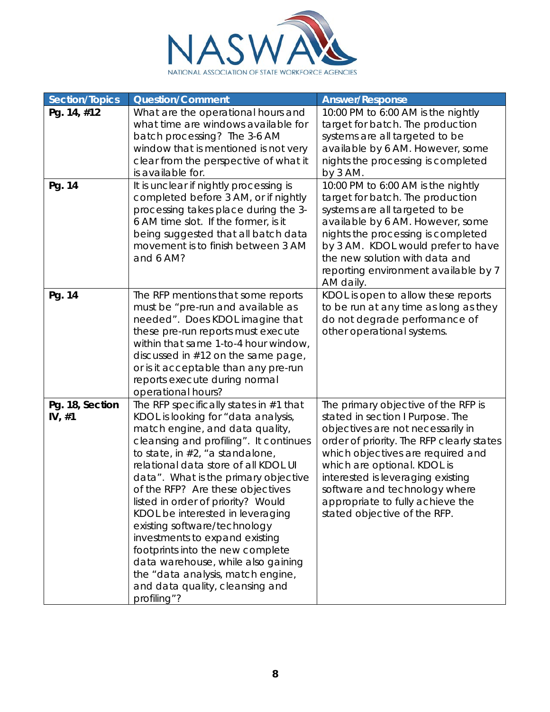

| <b>Section/Topics</b>       | <b>Question/Comment</b>                                                                                                                                                                                                                                                                                                                                                                                                                                                                                                                                                                                                             | <b>Answer/Response</b>                                                                                                                                                                                                                                                                                                                                                  |
|-----------------------------|-------------------------------------------------------------------------------------------------------------------------------------------------------------------------------------------------------------------------------------------------------------------------------------------------------------------------------------------------------------------------------------------------------------------------------------------------------------------------------------------------------------------------------------------------------------------------------------------------------------------------------------|-------------------------------------------------------------------------------------------------------------------------------------------------------------------------------------------------------------------------------------------------------------------------------------------------------------------------------------------------------------------------|
| Pg. 14, #12<br>Pg. 14       | What are the operational hours and<br>what time are windows available for<br>batch processing? The 3-6 AM<br>window that is mentioned is not very<br>clear from the perspective of what it<br>is available for.<br>It is unclear if nightly processing is                                                                                                                                                                                                                                                                                                                                                                           | 10:00 PM to 6:00 AM is the nightly<br>target for batch. The production<br>systems are all targeted to be<br>available by 6 AM. However, some<br>nights the processing is completed<br>by $3$ AM.<br>10:00 PM to 6:00 AM is the nightly                                                                                                                                  |
|                             | completed before 3 AM, or if nightly<br>processing takes place during the 3-<br>6 AM time slot. If the former, is it<br>being suggested that all batch data<br>movement is to finish between 3 AM<br>and 6 AM?                                                                                                                                                                                                                                                                                                                                                                                                                      | target for batch. The production<br>systems are all targeted to be<br>available by 6 AM. However, some<br>nights the processing is completed<br>by 3 AM. KDOL would prefer to have<br>the new solution with data and<br>reporting environment available by 7<br>AM daily.                                                                                               |
| Pg. 14                      | The RFP mentions that some reports<br>must be "pre-run and available as<br>needed". Does KDOL imagine that<br>these pre-run reports must execute<br>within that same 1-to-4 hour window,<br>discussed in $#12$ on the same page,<br>or is it acceptable than any pre-run<br>reports execute during normal<br>operational hours?                                                                                                                                                                                                                                                                                                     | KDOL is open to allow these reports<br>to be run at any time as long as they<br>do not degrade performance of<br>other operational systems.                                                                                                                                                                                                                             |
| Pg. 18, Section<br>IV, $#1$ | The RFP specifically states in $#1$ that<br>KDOL is looking for "data analysis,<br>match engine, and data quality,<br>cleansing and profiling". It continues<br>to state, in $#2$ , "a standalone,<br>relational data store of all KDOL UI<br>data". What is the primary objective<br>of the RFP? Are these objectives<br>listed in order of priority? Would<br>KDOL be interested in leveraging<br>existing software/technology<br>investments to expand existing<br>footprints into the new complete<br>data warehouse, while also gaining<br>the "data analysis, match engine,<br>and data quality, cleansing and<br>profiling"? | The primary objective of the RFP is<br>stated in section I Purpose. The<br>objectives are not necessarily in<br>order of priority. The RFP clearly states<br>which objectives are required and<br>which are optional. KDOL is<br>interested is leveraging existing<br>software and technology where<br>appropriate to fully achieve the<br>stated objective of the RFP. |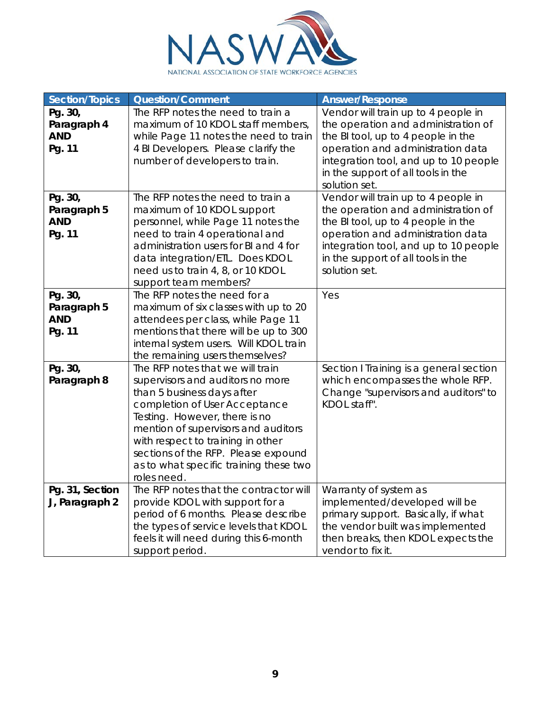

| <b>Section/Topics</b>                          | <b>Question/Comment</b>                                                                                                                                                                                                                                                                                                                          | <b>Answer/Response</b>                                                                                                                                                                                                                                |
|------------------------------------------------|--------------------------------------------------------------------------------------------------------------------------------------------------------------------------------------------------------------------------------------------------------------------------------------------------------------------------------------------------|-------------------------------------------------------------------------------------------------------------------------------------------------------------------------------------------------------------------------------------------------------|
| Pg. 30,<br>Paragraph 4<br><b>AND</b><br>Pg. 11 | The RFP notes the need to train a<br>maximum of 10 KDOL staff members,<br>while Page 11 notes the need to train<br>4 BI Developers. Please clarify the<br>number of developers to train.                                                                                                                                                         | Vendor will train up to 4 people in<br>the operation and administration of<br>the BI tool, up to 4 people in the<br>operation and administration data<br>integration tool, and up to 10 people<br>in the support of all tools in the<br>solution set. |
| Pg. 30,<br>Paragraph 5<br><b>AND</b><br>Pg. 11 | The RFP notes the need to train a<br>maximum of 10 KDOL support<br>personnel, while Page 11 notes the<br>need to train 4 operational and<br>administration users for BI and 4 for<br>data integration/ETL. Does KDOL<br>need us to train 4, 8, or 10 KDOL<br>support team members?                                                               | Vendor will train up to 4 people in<br>the operation and administration of<br>the BI tool, up to 4 people in the<br>operation and administration data<br>integration tool, and up to 10 people<br>in the support of all tools in the<br>solution set. |
| Pg. 30,<br>Paragraph 5<br><b>AND</b><br>Pg. 11 | The RFP notes the need for a<br>maximum of six classes with up to 20<br>attendees per class, while Page 11<br>mentions that there will be up to 300<br>internal system users. Will KDOL train<br>the remaining users themselves?                                                                                                                 | Yes                                                                                                                                                                                                                                                   |
| Pg. 30,<br>Paragraph 8                         | The RFP notes that we will train<br>supervisors and auditors no more<br>than 5 business days after<br>completion of User Acceptance<br>Testing. However, there is no<br>mention of supervisors and auditors<br>with respect to training in other<br>sections of the RFP. Please expound<br>as to what specific training these two<br>roles need. | Section I Training is a general section<br>which encompasses the whole RFP.<br>Change "supervisors and auditors" to<br>KDOL staff".                                                                                                                   |
| Pg. 31, Section<br>J, Paragraph 2              | The RFP notes that the contractor will<br>provide KDOL with support for a<br>period of 6 months. Please describe<br>the types of service levels that KDOL<br>feels it will need during this 6-month<br>support period.                                                                                                                           | Warranty of system as<br>implemented/developed will be<br>primary support. Basically, if what<br>the vendor built was implemented<br>then breaks, then KDOL expects the<br>vendor to fix it.                                                          |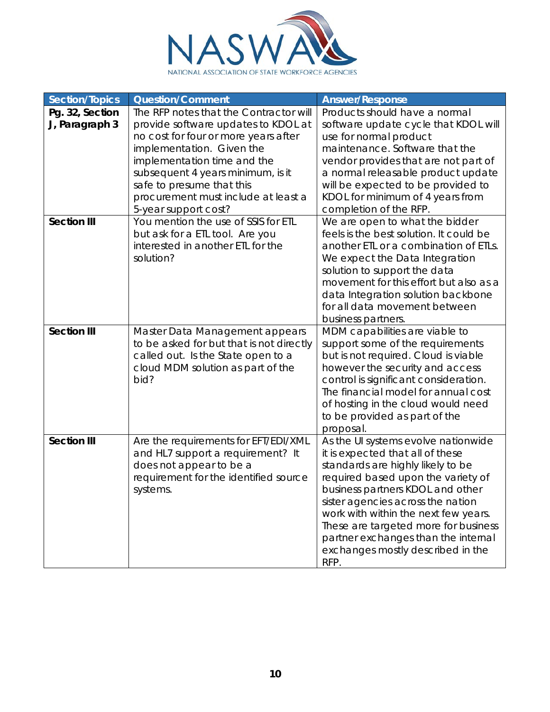

| <b>Section/Topics</b>             | <b>Question/Comment</b>                                                                                                                                                                                                                                                                                            | <b>Answer/Response</b>                                                                                                                                                                                                                                                                                                                                                                          |
|-----------------------------------|--------------------------------------------------------------------------------------------------------------------------------------------------------------------------------------------------------------------------------------------------------------------------------------------------------------------|-------------------------------------------------------------------------------------------------------------------------------------------------------------------------------------------------------------------------------------------------------------------------------------------------------------------------------------------------------------------------------------------------|
| Pg. 32, Section<br>J, Paragraph 3 | The RFP notes that the Contractor will<br>provide software updates to KDOL at<br>no cost for four or more years after<br>implementation. Given the<br>implementation time and the<br>subsequent 4 years minimum, is it<br>safe to presume that this<br>procurement must include at least a<br>5-year support cost? | Products should have a normal<br>software update cycle that KDOL will<br>use for normal product<br>maintenance. Software that the<br>vendor provides that are not part of<br>a normal releasable product update<br>will be expected to be provided to<br>KDOL for minimum of 4 years from<br>completion of the RFP.                                                                             |
| <b>Section III</b>                | You mention the use of SSIS for ETL<br>but ask for a ETL tool. Are you<br>interested in another ETL for the<br>solution?                                                                                                                                                                                           | We are open to what the bidder<br>feels is the best solution. It could be<br>another ETL or a combination of ETLs.<br>We expect the Data Integration<br>solution to support the data<br>movement for this effort but also as a<br>data Integration solution backbone<br>for all data movement between<br>business partners.                                                                     |
| <b>Section III</b>                | Master Data Management appears<br>to be asked for but that is not directly<br>called out. Is the State open to a<br>cloud MDM solution as part of the<br>bid?                                                                                                                                                      | MDM capabilities are viable to<br>support some of the requirements<br>but is not required. Cloud is viable<br>however the security and access<br>control is significant consideration.<br>The financial model for annual cost<br>of hosting in the cloud would need<br>to be provided as part of the<br>proposal.                                                                               |
| <b>Section III</b>                | Are the requirements for EFT/EDI/XML<br>and HL7 support a requirement? It<br>does not appear to be a<br>requirement for the identified source<br>systems.                                                                                                                                                          | As the UI systems evolve nationwide<br>it is expected that all of these<br>standards are highly likely to be<br>required based upon the variety of<br>business partners KDOL and other<br>sister agencies across the nation<br>work with within the next few years.<br>These are targeted more for business<br>partner exchanges than the internal<br>exchanges mostly described in the<br>RFP. |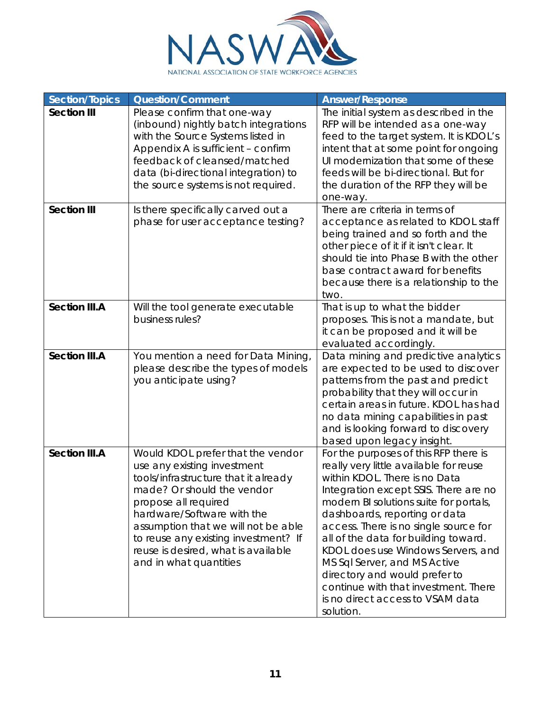

| <b>Section/Topics</b> | <b>Question/Comment</b>                                                                                                                                                                                                                                                                                                                      | <b>Answer/Response</b>                                                                                                                                                                                                                                                                                                                                                                                                                                                                                                |
|-----------------------|----------------------------------------------------------------------------------------------------------------------------------------------------------------------------------------------------------------------------------------------------------------------------------------------------------------------------------------------|-----------------------------------------------------------------------------------------------------------------------------------------------------------------------------------------------------------------------------------------------------------------------------------------------------------------------------------------------------------------------------------------------------------------------------------------------------------------------------------------------------------------------|
| <b>Section III</b>    | Please confirm that one-way<br>(inbound) nightly batch integrations<br>with the Source Systems listed in<br>Appendix A is sufficient - confirm<br>feedback of cleansed/matched<br>data (bi-directional integration) to<br>the source systems is not required.                                                                                | The initial system as described in the<br>RFP will be intended as a one-way<br>feed to the target system. It is KDOL's<br>intent that at some point for ongoing<br>UI modernization that some of these<br>feeds will be bi-directional. But for<br>the duration of the RFP they will be<br>one-way.                                                                                                                                                                                                                   |
| <b>Section III</b>    | Is there specifically carved out a<br>phase for user acceptance testing?                                                                                                                                                                                                                                                                     | There are criteria in terms of<br>acceptance as related to KDOL staff<br>being trained and so forth and the<br>other piece of it if it isn't clear. It<br>should tie into Phase B with the other<br>base contract award for benefits<br>because there is a relationship to the<br>two.                                                                                                                                                                                                                                |
| <b>Section III.A</b>  | Will the tool generate executable<br>business rules?                                                                                                                                                                                                                                                                                         | That is up to what the bidder<br>proposes. This is not a mandate, but<br>it can be proposed and it will be<br>evaluated accordingly.                                                                                                                                                                                                                                                                                                                                                                                  |
| <b>Section III.A</b>  | You mention a need for Data Mining,<br>please describe the types of models<br>you anticipate using?                                                                                                                                                                                                                                          | Data mining and predictive analytics<br>are expected to be used to discover<br>patterns from the past and predict<br>probability that they will occur in<br>certain areas in future. KDOL has had<br>no data mining capabilities in past<br>and is looking forward to discovery<br>based upon legacy insight.                                                                                                                                                                                                         |
| <b>Section III.A</b>  | Would KDOL prefer that the vendor<br>use any existing investment<br>tools/infrastructure that it already<br>made? Or should the vendor<br>propose all required<br>hardware/Software with the<br>assumption that we will not be able<br>to reuse any existing investment? If<br>reuse is desired, what is available<br>and in what quantities | For the purposes of this RFP there is<br>really very little available for reuse<br>within KDOL. There is no Data<br>Integration except SSIS. There are no<br>modern BI solutions suite for portals,<br>dashboards, reporting or data<br>access. There is no single source for<br>all of the data for building toward.<br>KDOL does use Windows Servers, and<br>MS Sql Server, and MS Active<br>directory and would prefer to<br>continue with that investment. There<br>is no direct access to VSAM data<br>solution. |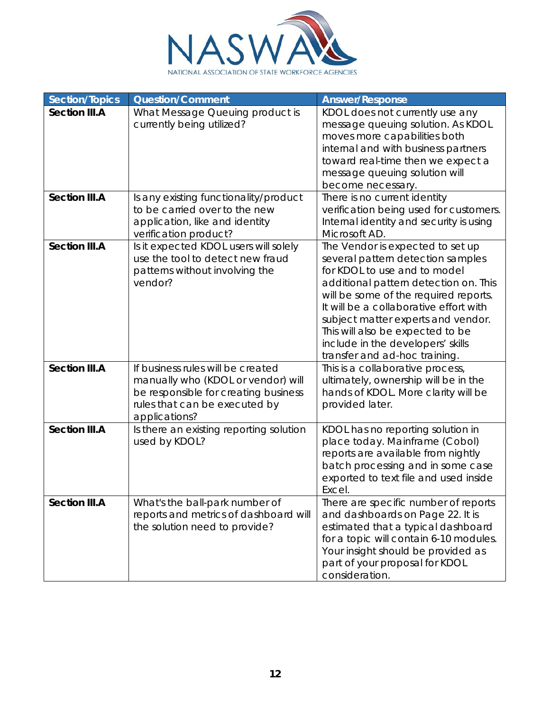

| <b>Section/Topics</b> | <b>Question/Comment</b>                                                                                                                                           | <b>Answer/Response</b>                                                                                                                                                                                                                                                                                                                                                            |
|-----------------------|-------------------------------------------------------------------------------------------------------------------------------------------------------------------|-----------------------------------------------------------------------------------------------------------------------------------------------------------------------------------------------------------------------------------------------------------------------------------------------------------------------------------------------------------------------------------|
| <b>Section III.A</b>  | What Message Queuing product is<br>currently being utilized?                                                                                                      | KDOL does not currently use any<br>message queuing solution. As KDOL<br>moves more capabilities both<br>internal and with business partners<br>toward real-time then we expect a<br>message queuing solution will<br>become necessary.                                                                                                                                            |
| <b>Section III.A</b>  | Is any existing functionality/product<br>to be carried over to the new<br>application, like and identity<br>verification product?                                 | There is no current identity<br>verification being used for customers.<br>Internal identity and security is using<br>Microsoft AD.                                                                                                                                                                                                                                                |
| <b>Section III.A</b>  | Is it expected KDOL users will solely<br>use the tool to detect new fraud<br>patterns without involving the<br>vendor?                                            | The Vendor is expected to set up<br>several pattern detection samples<br>for KDOL to use and to model<br>additional pattern detection on. This<br>will be some of the required reports.<br>It will be a collaborative effort with<br>subject matter experts and vendor.<br>This will also be expected to be<br>include in the developers' skills<br>transfer and ad-hoc training. |
| <b>Section III.A</b>  | If business rules will be created<br>manually who (KDOL or vendor) will<br>be responsible for creating business<br>rules that can be executed by<br>applications? | This is a collaborative process,<br>ultimately, ownership will be in the<br>hands of KDOL. More clarity will be<br>provided later.                                                                                                                                                                                                                                                |
| <b>Section III.A</b>  | Is there an existing reporting solution<br>used by KDOL?                                                                                                          | KDOL has no reporting solution in<br>place today. Mainframe (Cobol)<br>reports are available from nightly<br>batch processing and in some case<br>exported to text file and used inside<br>Excel.                                                                                                                                                                                 |
| <b>Section III.A</b>  | What's the ball-park number of<br>reports and metrics of dashboard will<br>the solution need to provide?                                                          | There are specific number of reports<br>and dashboards on Page 22. It is<br>estimated that a typical dashboard<br>for a topic will contain 6-10 modules.<br>Your insight should be provided as<br>part of your proposal for KDOL<br>consideration.                                                                                                                                |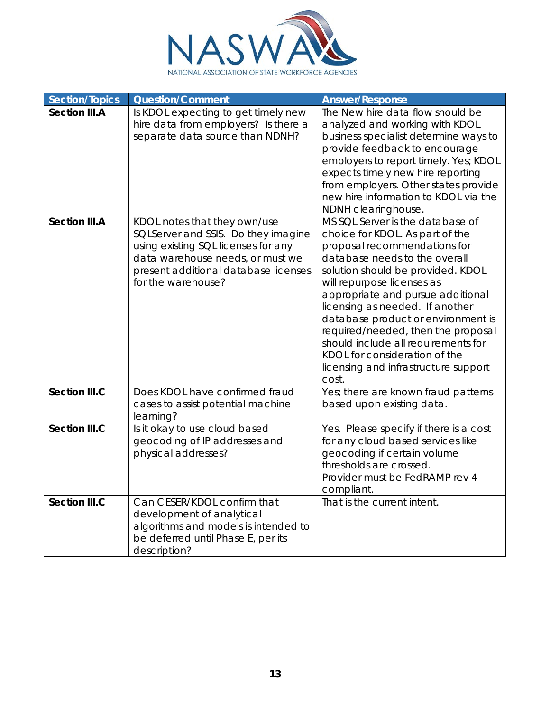

| <b>Section/Topics</b> | <b>Question/Comment</b>                                                                                                                                                                                      | <b>Answer/Response</b>                                                                                                                                                                                                                                                                                                                                                                                                                                                               |
|-----------------------|--------------------------------------------------------------------------------------------------------------------------------------------------------------------------------------------------------------|--------------------------------------------------------------------------------------------------------------------------------------------------------------------------------------------------------------------------------------------------------------------------------------------------------------------------------------------------------------------------------------------------------------------------------------------------------------------------------------|
| <b>Section III.A</b>  | Is KDOL expecting to get timely new<br>hire data from employers? Is there a<br>separate data source than NDNH?                                                                                               | The New hire data flow should be<br>analyzed and working with KDOL<br>business specialist determine ways to<br>provide feedback to encourage<br>employers to report timely. Yes; KDOL<br>expects timely new hire reporting<br>from employers. Other states provide<br>new hire information to KDOL via the<br>NDNH clearinghouse.                                                                                                                                                    |
| <b>Section III.A</b>  | KDOL notes that they own/use<br>SQLServer and SSIS. Do they imagine<br>using existing SQL licenses for any<br>data warehouse needs, or must we<br>present additional database licenses<br>for the warehouse? | MS SQL Server is the database of<br>choice for KDOL. As part of the<br>proposal recommendations for<br>database needs to the overall<br>solution should be provided. KDOL<br>will repurpose licenses as<br>appropriate and pursue additional<br>licensing as needed. If another<br>database product or environment is<br>required/needed, then the proposal<br>should include all requirements for<br>KDOL for consideration of the<br>licensing and infrastructure support<br>cost. |
| <b>Section III.C</b>  | Does KDOL have confirmed fraud<br>cases to assist potential machine<br>learning?                                                                                                                             | Yes; there are known fraud patterns<br>based upon existing data.                                                                                                                                                                                                                                                                                                                                                                                                                     |
| <b>Section III.C</b>  | Is it okay to use cloud based<br>geocoding of IP addresses and<br>physical addresses?                                                                                                                        | Yes. Please specify if there is a cost<br>for any cloud based services like<br>geocoding if certain volume<br>thresholds are crossed.<br>Provider must be FedRAMP rev 4<br>compliant.                                                                                                                                                                                                                                                                                                |
| <b>Section III.C</b>  | Can CESER/KDOL confirm that<br>development of analytical<br>algorithms and models is intended to<br>be deferred until Phase E, per its<br>description?                                                       | That is the current intent.                                                                                                                                                                                                                                                                                                                                                                                                                                                          |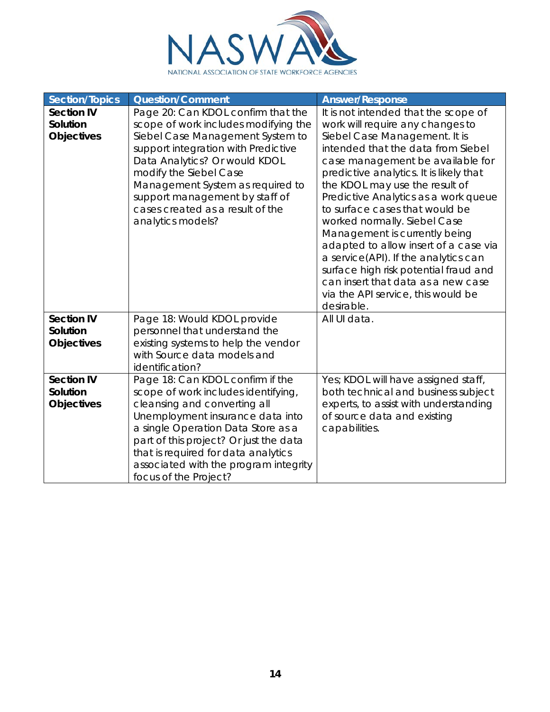

| <b>Section/Topics</b> | <b>Question/Comment</b>                | <b>Answer/Response</b>                                        |
|-----------------------|----------------------------------------|---------------------------------------------------------------|
| <b>Section IV</b>     | Page 20: Can KDOL confirm that the     | It is not intended that the scope of                          |
| Solution              | scope of work includes modifying the   | work will require any changes to                              |
| <b>Objectives</b>     | Siebel Case Management System to       | Siebel Case Management. It is                                 |
|                       | support integration with Predictive    | intended that the data from Siebel                            |
|                       | Data Analytics? Or would KDOL          | case management be available for                              |
|                       | modify the Siebel Case                 | predictive analytics. It is likely that                       |
|                       | Management System as required to       | the KDOL may use the result of                                |
|                       | support management by staff of         | Predictive Analytics as a work queue                          |
|                       | cases created as a result of the       | to surface cases that would be                                |
|                       | analytics models?                      | worked normally. Siebel Case<br>Management is currently being |
|                       |                                        | adapted to allow insert of a case via                         |
|                       |                                        | a service(API). If the analytics can                          |
|                       |                                        | surface high risk potential fraud and                         |
|                       |                                        | can insert that data as a new case                            |
|                       |                                        | via the API service, this would be                            |
|                       |                                        | desirable.                                                    |
| <b>Section IV</b>     | Page 18: Would KDOL provide            | All UI data.                                                  |
| Solution              | personnel that understand the          |                                                               |
| <b>Objectives</b>     | existing systems to help the vendor    |                                                               |
|                       | with Source data models and            |                                                               |
|                       | identification?                        |                                                               |
| <b>Section IV</b>     | Page 18: Can KDOL confirm if the       | Yes; KDOL will have assigned staff,                           |
| Solution              | scope of work includes identifying,    | both technical and business subject                           |
| <b>Objectives</b>     | cleansing and converting all           | experts, to assist with understanding                         |
|                       | Unemployment insurance data into       | of source data and existing                                   |
|                       | a single Operation Data Store as a     | capabilities.                                                 |
|                       | part of this project? Or just the data |                                                               |
|                       | that is required for data analytics    |                                                               |
|                       | associated with the program integrity  |                                                               |
|                       | focus of the Project?                  |                                                               |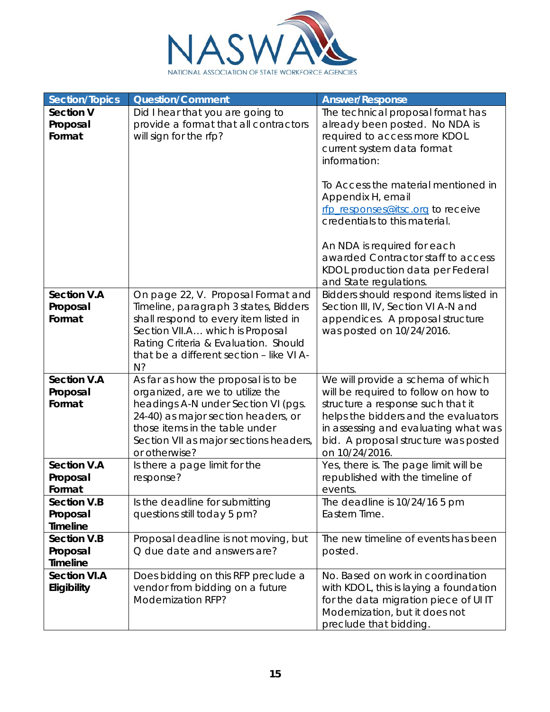

| Section/Topics                                    | <b>Question/Comment</b>                                                                                                                                                                                                                            | <b>Answer/Response</b>                                                                                                                                                                                                                                   |
|---------------------------------------------------|----------------------------------------------------------------------------------------------------------------------------------------------------------------------------------------------------------------------------------------------------|----------------------------------------------------------------------------------------------------------------------------------------------------------------------------------------------------------------------------------------------------------|
| <b>Section V</b><br>Proposal<br>Format            | Did I hear that you are going to<br>provide a format that all contractors<br>will sign for the rfp?                                                                                                                                                | The technical proposal format has<br>already been posted. No NDA is<br>required to access more KDOL<br>current system data format<br>information:<br>To Access the material mentioned in                                                                 |
|                                                   |                                                                                                                                                                                                                                                    | Appendix H, email<br>rfp_responses@itsc.org to receive<br>credentials to this material.<br>An NDA is required for each<br>awarded Contractor staff to access<br>KDOL production data per Federal                                                         |
|                                                   |                                                                                                                                                                                                                                                    | and State regulations.                                                                                                                                                                                                                                   |
| <b>Section V.A</b>                                | On page 22, V. Proposal Format and                                                                                                                                                                                                                 | Bidders should respond items listed in                                                                                                                                                                                                                   |
| Proposal<br>Format                                | Timeline, paragraph 3 states, Bidders<br>shall respond to every item listed in<br>Section VII.A which is Proposal<br>Rating Criteria & Evaluation. Should<br>that be a different section - like VI A-<br>N?                                        | Section III, IV, Section VI A-N and<br>appendices. A proposal structure<br>was posted on 10/24/2016.                                                                                                                                                     |
| <b>Section V.A</b><br>Proposal<br>Format          | As far as how the proposal is to be<br>organized, are we to utilize the<br>headings A-N under Section VI (pgs.<br>24-40) as major section headers, or<br>those items in the table under<br>Section VII as major sections headers,<br>or otherwise? | We will provide a schema of which<br>will be required to follow on how to<br>structure a response such that it<br>helps the bidders and the evaluators<br>in assessing and evaluating what was<br>bid. A proposal structure was posted<br>on 10/24/2016. |
| <b>Section V.A</b><br>Proposal<br>Format          | Is there a page limit for the<br>response?                                                                                                                                                                                                         | Yes, there is. The page limit will be<br>republished with the timeline of<br>events.                                                                                                                                                                     |
| <b>Section V.B</b><br>Proposal<br><b>Timeline</b> | Is the deadline for submitting<br>questions still today 5 pm?                                                                                                                                                                                      | The deadline is 10/24/16 5 pm<br>Eastern Time.                                                                                                                                                                                                           |
| <b>Section V.B</b><br>Proposal<br><b>Timeline</b> | Proposal deadline is not moving, but<br>Q due date and answers are?                                                                                                                                                                                | The new timeline of events has been<br>posted.                                                                                                                                                                                                           |
| <b>Section VI.A</b><br>Eligibility                | Does bidding on this RFP preclude a<br>vendor from bidding on a future<br>Modernization RFP?                                                                                                                                                       | No. Based on work in coordination<br>with KDOL, this is laying a foundation<br>for the data migration piece of UI IT<br>Modernization, but it does not<br>preclude that bidding.                                                                         |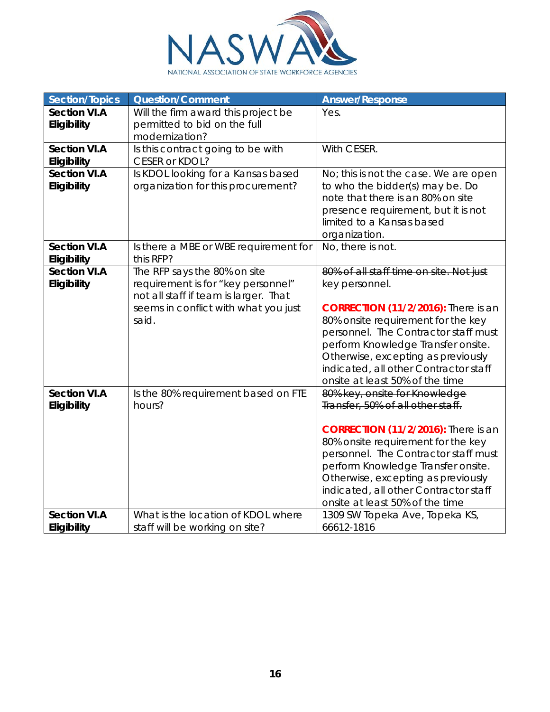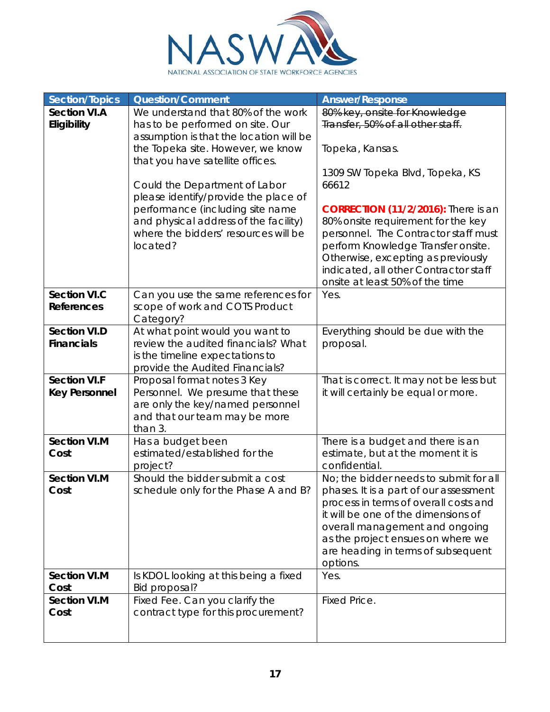

| <b>Section/Topics</b>                       | <b>Question/Comment</b>                                                                                                                                                                                                                                                                                                                                                                              | <b>Answer/Response</b>                                                                                                                                                                                                                                                                                                                                                                                                |
|---------------------------------------------|------------------------------------------------------------------------------------------------------------------------------------------------------------------------------------------------------------------------------------------------------------------------------------------------------------------------------------------------------------------------------------------------------|-----------------------------------------------------------------------------------------------------------------------------------------------------------------------------------------------------------------------------------------------------------------------------------------------------------------------------------------------------------------------------------------------------------------------|
| <b>Section VI.A</b><br>Eligibility          | We understand that 80% of the work<br>has to be performed on site. Our<br>assumption is that the location will be<br>the Topeka site. However, we know<br>that you have satellite offices.<br>Could the Department of Labor<br>please identify/provide the place of<br>performance (including site name<br>and physical address of the facility)<br>where the bidders' resources will be<br>located? | 80% key, onsite for Knowledge<br>Transfer, 50% of all other staff.<br>Topeka, Kansas.<br>1309 SW Topeka Blvd, Topeka, KS<br>66612<br><b>CORRECTION (11/2/2016):</b> There is an<br>80% onsite requirement for the key<br>personnel. The Contractor staff must<br>perform Knowledge Transfer onsite.<br>Otherwise, excepting as previously<br>indicated, all other Contractor staff<br>onsite at least 50% of the time |
| <b>Section VI.C</b><br><b>References</b>    | Can you use the same references for<br>scope of work and COTS Product<br>Category?                                                                                                                                                                                                                                                                                                                   | Yes.                                                                                                                                                                                                                                                                                                                                                                                                                  |
| <b>Section VI.D</b><br><b>Financials</b>    | At what point would you want to<br>review the audited financials? What<br>is the timeline expectations to<br>provide the Audited Financials?                                                                                                                                                                                                                                                         | Everything should be due with the<br>proposal.                                                                                                                                                                                                                                                                                                                                                                        |
| <b>Section VI.F</b><br><b>Key Personnel</b> | Proposal format notes 3 Key<br>Personnel. We presume that these<br>are only the key/named personnel<br>and that our team may be more<br>than 3.                                                                                                                                                                                                                                                      | That is correct. It may not be less but<br>it will certainly be equal or more.                                                                                                                                                                                                                                                                                                                                        |
| <b>Section VI.M</b><br>Cost                 | Has a budget been<br>estimated/established for the<br>project?                                                                                                                                                                                                                                                                                                                                       | There is a budget and there is an<br>estimate, but at the moment it is<br>confidential.                                                                                                                                                                                                                                                                                                                               |
| <b>Section VI.M</b><br>Cost                 | Should the bidder submit a cost<br>schedule only for the Phase A and B?                                                                                                                                                                                                                                                                                                                              | No; the bidder needs to submit for all<br>phases. It is a part of our assessment<br>process in terms of overall costs and<br>it will be one of the dimensions of<br>overall management and ongoing<br>as the project ensues on where we<br>are heading in terms of subsequent<br>options.                                                                                                                             |
| <b>Section VI.M</b><br>Cost                 | Is KDOL looking at this being a fixed<br>Bid proposal?                                                                                                                                                                                                                                                                                                                                               | Yes.                                                                                                                                                                                                                                                                                                                                                                                                                  |
| <b>Section VI.M</b><br>Cost                 | Fixed Fee. Can you clarify the<br>contract type for this procurement?                                                                                                                                                                                                                                                                                                                                | Fixed Price.                                                                                                                                                                                                                                                                                                                                                                                                          |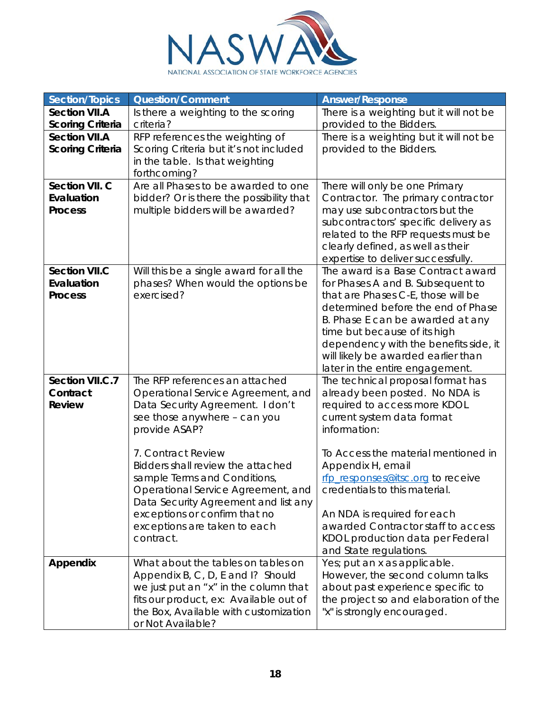

| <b>Section/Topics</b>   | <b>Question/Comment</b>                  | <b>Answer/Response</b>                                                 |
|-------------------------|------------------------------------------|------------------------------------------------------------------------|
| <b>Section VII.A</b>    | Is there a weighting to the scoring      | There is a weighting but it will not be                                |
| <b>Scoring Criteria</b> | criteria?                                | provided to the Bidders.                                               |
| <b>Section VII.A</b>    | RFP references the weighting of          | There is a weighting but it will not be                                |
| <b>Scoring Criteria</b> | Scoring Criteria but it's not included   | provided to the Bidders.                                               |
|                         | in the table. Is that weighting          |                                                                        |
|                         | forthcoming?                             |                                                                        |
| Section VII. C          | Are all Phases to be awarded to one      | There will only be one Primary                                         |
| Evaluation              | bidder? Or is there the possibility that | Contractor. The primary contractor                                     |
| <b>Process</b>          | multiple bidders will be awarded?        | may use subcontractors but the                                         |
|                         |                                          | subcontractors' specific delivery as                                   |
|                         |                                          | related to the RFP requests must be                                    |
|                         |                                          | clearly defined, as well as their                                      |
|                         |                                          | expertise to deliver successfully.                                     |
| <b>Section VII.C</b>    | Will this be a single award for all the  | The award is a Base Contract award                                     |
| Evaluation              | phases? When would the options be        | for Phases A and B. Subsequent to                                      |
| <b>Process</b>          | exercised?                               | that are Phases C-E, those will be                                     |
|                         |                                          | determined before the end of Phase                                     |
|                         |                                          | B. Phase E can be awarded at any                                       |
|                         |                                          | time but because of its high                                           |
|                         |                                          | dependency with the benefits side, it                                  |
|                         |                                          | will likely be awarded earlier than<br>later in the entire engagement. |
| Section VII.C.7         | The RFP references an attached           | The technical proposal format has                                      |
| Contract                | Operational Service Agreement, and       | already been posted. No NDA is                                         |
| <b>Review</b>           | Data Security Agreement. I don't         | required to access more KDOL                                           |
|                         | see those anywhere - can you             | current system data format                                             |
|                         | provide ASAP?                            | information:                                                           |
|                         |                                          |                                                                        |
|                         | 7. Contract Review                       | To Access the material mentioned in                                    |
|                         | Bidders shall review the attached        | Appendix H, email                                                      |
|                         | sample Terms and Conditions,             | rfp_responses@itsc.org to receive                                      |
|                         | Operational Service Agreement, and       | credentials to this material.                                          |
|                         | Data Security Agreement and list any     |                                                                        |
|                         | exceptions or confirm that no            | An NDA is required for each                                            |
|                         | exceptions are taken to each             | awarded Contractor staff to access                                     |
|                         | contract.                                | KDOL production data per Federal                                       |
|                         |                                          | and State regulations.                                                 |
| Appendix                | What about the tables on tables on       | Yes; put an x as applicable.                                           |
|                         | Appendix B, C, D, E and I? Should        | However, the second column talks                                       |
|                         | we just put an "x" in the column that    | about past experience specific to                                      |
|                         | fits our product, ex: Available out of   | the project so and elaboration of the                                  |
|                         | the Box, Available with customization    | "x" is strongly encouraged.                                            |
|                         | or Not Available?                        |                                                                        |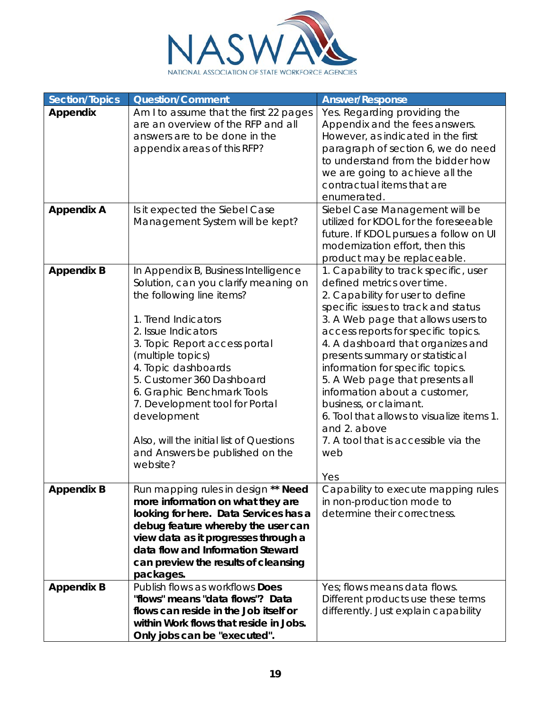

| <b>Section/Topics</b> | <b>Question/Comment</b>                                                      | <b>Answer/Response</b>                                                          |
|-----------------------|------------------------------------------------------------------------------|---------------------------------------------------------------------------------|
| Appendix              | Am I to assume that the first 22 pages<br>are an overview of the RFP and all | Yes. Regarding providing the<br>Appendix and the fees answers.                  |
|                       | answers are to be done in the                                                | However, as indicated in the first                                              |
|                       | appendix areas of this RFP?                                                  | paragraph of section 6, we do need                                              |
|                       |                                                                              | to understand from the bidder how                                               |
|                       |                                                                              | we are going to achieve all the                                                 |
|                       |                                                                              | contractual items that are                                                      |
|                       |                                                                              | enumerated.                                                                     |
| <b>Appendix A</b>     | Is it expected the Siebel Case                                               | Siebel Case Management will be                                                  |
|                       | Management System will be kept?                                              | utilized for KDOL for the foreseeable<br>future. If KDOL pursues a follow on UI |
|                       |                                                                              | modernization effort, then this                                                 |
|                       |                                                                              | product may be replaceable.                                                     |
| <b>Appendix B</b>     | In Appendix B, Business Intelligence                                         | 1. Capability to track specific, user                                           |
|                       | Solution, can you clarify meaning on                                         | defined metrics over time.                                                      |
|                       | the following line items?                                                    | 2. Capability for user to define                                                |
|                       |                                                                              | specific issues to track and status                                             |
|                       | 1. Trend Indicators                                                          | 3. A Web page that allows users to                                              |
|                       | 2. Issue Indicators                                                          | access reports for specific topics.                                             |
|                       | 3. Topic Report access portal                                                | 4. A dashboard that organizes and                                               |
|                       | (multiple topics)                                                            | presents summary or statistical                                                 |
|                       | 4. Topic dashboards<br>5. Customer 360 Dashboard                             | information for specific topics.                                                |
|                       | 6. Graphic Benchmark Tools                                                   | 5. A Web page that presents all<br>information about a customer,                |
|                       | 7. Development tool for Portal                                               | business, or claimant.                                                          |
|                       | development                                                                  | 6. Tool that allows to visualize items 1.                                       |
|                       |                                                                              | and 2. above                                                                    |
|                       | Also, will the initial list of Questions                                     | 7. A tool that is accessible via the                                            |
|                       | and Answers be published on the                                              | web                                                                             |
|                       | website?                                                                     |                                                                                 |
|                       |                                                                              | Yes                                                                             |
| <b>Appendix B</b>     | Run mapping rules in design ** Need                                          | Capability to execute mapping rules                                             |
|                       | more information on what they are<br>looking for here. Data Services has a   | in non-production mode to<br>determine their correctness.                       |
|                       | debug feature whereby the user can                                           |                                                                                 |
|                       | view data as it progresses through a                                         |                                                                                 |
|                       | data flow and Information Steward                                            |                                                                                 |
|                       | can preview the results of cleansing                                         |                                                                                 |
|                       | packages.                                                                    |                                                                                 |
| <b>Appendix B</b>     | Publish flows as workflows Does                                              | Yes; flows means data flows.                                                    |
|                       | "flows" means "data flows"? Data                                             | Different products use these terms                                              |
|                       | flows can reside in the Job itself or                                        | differently. Just explain capability                                            |
|                       | within Work flows that reside in Jobs.                                       |                                                                                 |
|                       | Only jobs can be "executed".                                                 |                                                                                 |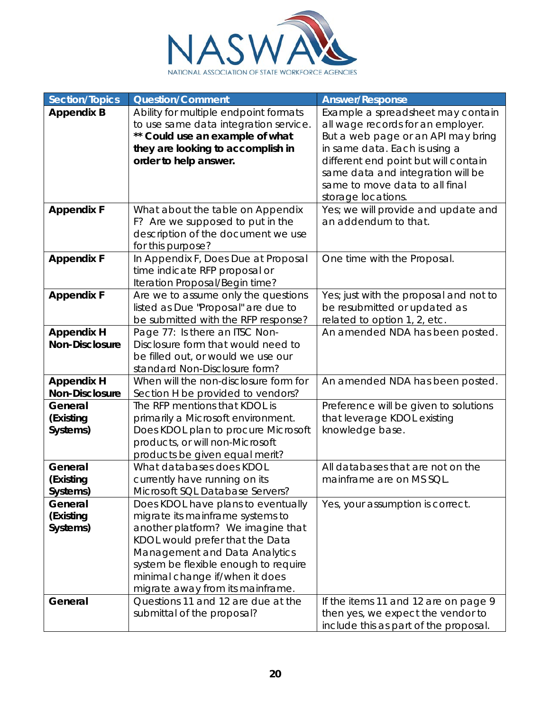

| <b>Section/Topics</b> | <b>Question/Comment</b>                                                | <b>Answer/Response</b>                                                 |
|-----------------------|------------------------------------------------------------------------|------------------------------------------------------------------------|
| <b>Appendix B</b>     | Ability for multiple endpoint formats                                  | Example a spreadsheet may contain                                      |
|                       | to use same data integration service.                                  | all wage records for an employer.                                      |
|                       | ** Could use an example of what                                        | But a web page or an API may bring                                     |
|                       | they are looking to accomplish in                                      | in same data. Each is using a                                          |
|                       | order to help answer.                                                  | different end point but will contain                                   |
|                       |                                                                        | same data and integration will be                                      |
|                       |                                                                        | same to move data to all final                                         |
|                       |                                                                        | storage locations.                                                     |
| <b>Appendix F</b>     | What about the table on Appendix                                       | Yes; we will provide and update and                                    |
|                       | F? Are we supposed to put in the                                       | an addendum to that.                                                   |
|                       | description of the document we use                                     |                                                                        |
|                       | for this purpose?                                                      |                                                                        |
| <b>Appendix F</b>     | In Appendix F, Does Due at Proposal                                    | One time with the Proposal.                                            |
|                       | time indicate RFP proposal or                                          |                                                                        |
| <b>Appendix F</b>     | Iteration Proposal/Begin time?<br>Are we to assume only the questions  |                                                                        |
|                       | listed as Due "Proposal" are due to                                    | Yes; just with the proposal and not to<br>be resubmitted or updated as |
|                       | be submitted with the RFP response?                                    | related to option 1, 2, etc.                                           |
| <b>Appendix H</b>     | Page 77: Is there an ITSC Non-                                         | An amended NDA has been posted.                                        |
| <b>Non-Disclosure</b> | Disclosure form that would need to                                     |                                                                        |
|                       | be filled out, or would we use our                                     |                                                                        |
|                       | standard Non-Disclosure form?                                          |                                                                        |
| <b>Appendix H</b>     | When will the non-disclosure form for                                  | An amended NDA has been posted.                                        |
| Non-Disclosure        | Section H be provided to vendors?                                      |                                                                        |
| General               | The RFP mentions that KDOL is                                          | Preference will be given to solutions                                  |
| (Existing             | primarily a Microsoft environment.                                     | that leverage KDOL existing                                            |
| Systems)              | Does KDOL plan to procure Microsoft                                    | knowledge base.                                                        |
|                       | products, or will non-Microsoft                                        |                                                                        |
|                       | products be given equal merit?                                         |                                                                        |
| General               | What databases does KDOL                                               | All databases that are not on the                                      |
| (Existing             | currently have running on its                                          | mainframe are on MS SQL.                                               |
| Systems)              | Microsoft SQL Database Servers?                                        |                                                                        |
| General               | Does KDOL have plans to eventually                                     | Yes, your assumption is correct.                                       |
| (Existing             | migrate its mainframe systems to                                       |                                                                        |
| Systems)              | another platform? We imagine that                                      |                                                                        |
|                       | KDOL would prefer that the Data                                        |                                                                        |
|                       | Management and Data Analytics                                          |                                                                        |
|                       | system be flexible enough to require                                   |                                                                        |
|                       | minimal change if/when it does                                         |                                                                        |
| General               | migrate away from its mainframe.<br>Questions 11 and 12 are due at the | If the items 11 and 12 are on page 9                                   |
|                       | submittal of the proposal?                                             | then yes, we expect the vendor to                                      |
|                       |                                                                        | include this as part of the proposal.                                  |
|                       |                                                                        |                                                                        |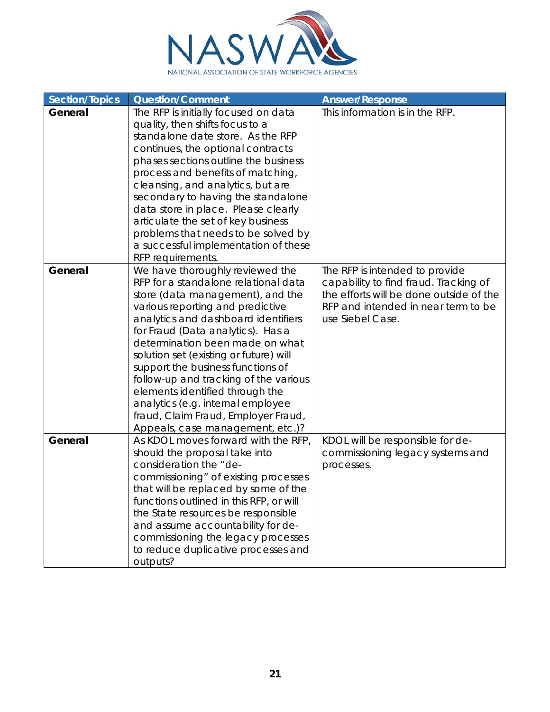

| <b>Section/Topics</b> | <b>Question/Comment</b>                                                                                                                                                                                                                                                                                                                                                                                                                                                                                                                   | <b>Answer/Response</b>                                                                                                                                                        |
|-----------------------|-------------------------------------------------------------------------------------------------------------------------------------------------------------------------------------------------------------------------------------------------------------------------------------------------------------------------------------------------------------------------------------------------------------------------------------------------------------------------------------------------------------------------------------------|-------------------------------------------------------------------------------------------------------------------------------------------------------------------------------|
| General               | The RFP is initially focused on data<br>quality, then shifts focus to a<br>standalone date store. As the RFP<br>continues, the optional contracts<br>phases sections outline the business<br>process and benefits of matching,<br>cleansing, and analytics, but are<br>secondary to having the standalone<br>data store in place. Please clearly<br>articulate the set of key business<br>problems that needs to be solved by<br>a successful implementation of these<br>RFP requirements.                                                | This information is in the RFP.                                                                                                                                               |
| General               | We have thoroughly reviewed the<br>RFP for a standalone relational data<br>store (data management), and the<br>various reporting and predictive<br>analytics and dashboard identifiers<br>for Fraud (Data analytics). Has a<br>determination been made on what<br>solution set (existing or future) will<br>support the business functions of<br>follow-up and tracking of the various<br>elements identified through the<br>analytics (e.g. internal employee<br>fraud, Claim Fraud, Employer Fraud,<br>Appeals, case management, etc.)? | The RFP is intended to provide<br>capability to find fraud. Tracking of<br>the efforts will be done outside of the<br>RFP and intended in near term to be<br>use Siebel Case. |
| General               | As KDOL moves forward with the RFP,<br>should the proposal take into<br>consideration the "de-<br>commissioning" of existing processes<br>that will be replaced by some of the<br>functions outlined in this RFP, or will<br>the State resources be responsible<br>and assume accountability for de-<br>commissioning the legacy processes<br>to reduce duplicative processes and<br>outputs?                                                                                                                                             | KDOL will be responsible for de-<br>commissioning legacy systems and<br>processes.                                                                                            |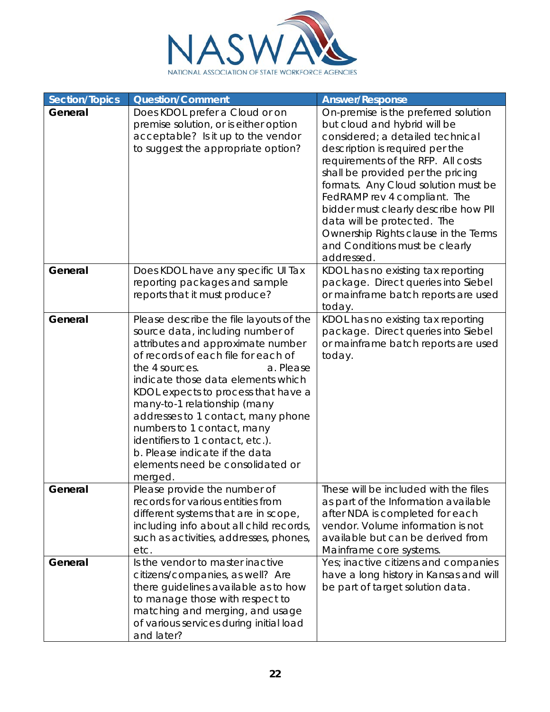

| <b>Section/Topics</b> | <b>Question/Comment</b>                                                                                                                                                                                                                                                                                                                                                                                                                                                                      | <b>Answer/Response</b>                                                                                                                                                                                                                                                                                                                                                                                                                                       |
|-----------------------|----------------------------------------------------------------------------------------------------------------------------------------------------------------------------------------------------------------------------------------------------------------------------------------------------------------------------------------------------------------------------------------------------------------------------------------------------------------------------------------------|--------------------------------------------------------------------------------------------------------------------------------------------------------------------------------------------------------------------------------------------------------------------------------------------------------------------------------------------------------------------------------------------------------------------------------------------------------------|
| General               | Does KDOL prefer a Cloud or on<br>premise solution, or is either option<br>acceptable? Is it up to the vendor<br>to suggest the appropriate option?                                                                                                                                                                                                                                                                                                                                          | On-premise is the preferred solution<br>but cloud and hybrid will be<br>considered; a detailed technical<br>description is required per the<br>requirements of the RFP. All costs<br>shall be provided per the pricing<br>formats. Any Cloud solution must be<br>FedRAMP rev 4 compliant. The<br>bidder must clearly describe how PII<br>data will be protected. The<br>Ownership Rights clause in the Terms<br>and Conditions must be clearly<br>addressed. |
| General               | Does KDOL have any specific UI Tax<br>reporting packages and sample<br>reports that it must produce?                                                                                                                                                                                                                                                                                                                                                                                         | KDOL has no existing tax reporting<br>package. Direct queries into Siebel<br>or mainframe batch reports are used<br>today.                                                                                                                                                                                                                                                                                                                                   |
| General               | Please describe the file layouts of the<br>source data, including number of<br>attributes and approximate number<br>of records of each file for each of<br>the 4 sources.<br>a. Please<br>indicate those data elements which<br>KDOL expects to process that have a<br>many-to-1 relationship (many<br>addresses to 1 contact, many phone<br>numbers to 1 contact, many<br>identifiers to 1 contact, etc.).<br>b. Please indicate if the data<br>elements need be consolidated or<br>merged. | KDOL has no existing tax reporting<br>package. Direct queries into Siebel<br>or mainframe batch reports are used<br>today.                                                                                                                                                                                                                                                                                                                                   |
| General               | Please provide the number of<br>records for various entities from<br>different systems that are in scope,<br>including info about all child records,<br>such as activities, addresses, phones,<br>etc.                                                                                                                                                                                                                                                                                       | These will be included with the files<br>as part of the Information available<br>after NDA is completed for each<br>vendor. Volume information is not<br>available but can be derived from<br>Mainframe core systems.                                                                                                                                                                                                                                        |
| General               | Is the vendor to master inactive<br>citizens/companies, as well? Are<br>there guidelines available as to how<br>to manage those with respect to<br>matching and merging, and usage<br>of various services during initial load<br>and later?                                                                                                                                                                                                                                                  | Yes; inactive citizens and companies<br>have a long history in Kansas and will<br>be part of target solution data.                                                                                                                                                                                                                                                                                                                                           |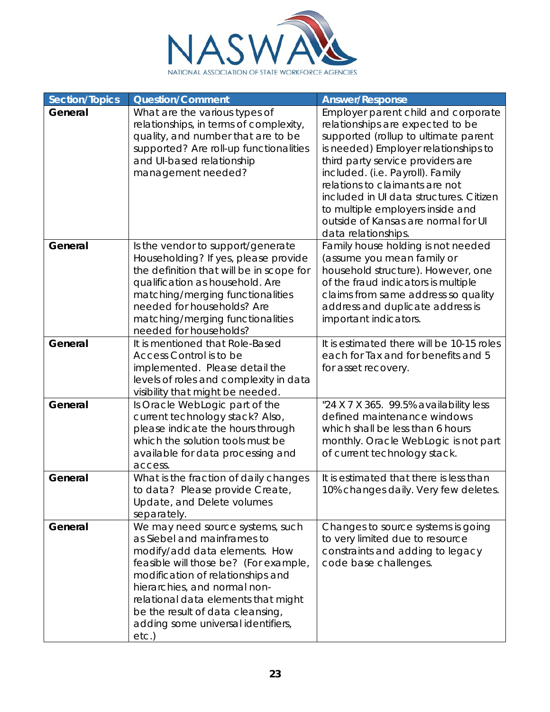

| Section/Topics | <b>Question/Comment</b>                                                                                                                                                                                                                                                                                                                     | <b>Answer/Response</b>                                                                                                                                                                                                                                                                                                                                                                                          |
|----------------|---------------------------------------------------------------------------------------------------------------------------------------------------------------------------------------------------------------------------------------------------------------------------------------------------------------------------------------------|-----------------------------------------------------------------------------------------------------------------------------------------------------------------------------------------------------------------------------------------------------------------------------------------------------------------------------------------------------------------------------------------------------------------|
| General        | What are the various types of<br>relationships, in terms of complexity,<br>quality, and number that are to be<br>supported? Are roll-up functionalities<br>and UI-based relationship<br>management needed?                                                                                                                                  | Employer parent child and corporate<br>relationships are expected to be<br>supported (rollup to ultimate parent<br>is needed) Employer relationships to<br>third party service providers are<br>included. (i.e. Payroll). Family<br>relations to claimants are not<br>included in UI data structures. Citizen<br>to multiple employers inside and<br>outside of Kansas are normal for UI<br>data relationships. |
| General        | Is the vendor to support/generate<br>Householding? If yes, please provide<br>the definition that will be in scope for<br>qualification as household. Are<br>matching/merging functionalities<br>needed for households? Are<br>matching/merging functionalities<br>needed for households?                                                    | Family house holding is not needed<br>(assume you mean family or<br>household structure). However, one<br>of the fraud indicators is multiple<br>claims from same address so quality<br>address and duplicate address is<br>important indicators.                                                                                                                                                               |
| General        | It is mentioned that Role-Based<br>Access Control is to be<br>implemented. Please detail the<br>levels of roles and complexity in data<br>visibility that might be needed.                                                                                                                                                                  | It is estimated there will be 10-15 roles<br>each for Tax and for benefits and 5<br>for asset recovery.                                                                                                                                                                                                                                                                                                         |
| General        | Is Oracle WebLogic part of the<br>current technology stack? Also,<br>please indicate the hours through<br>which the solution tools must be<br>available for data processing and<br>access.                                                                                                                                                  | "24 X 7 X 365. 99.5% availability less<br>defined maintenance windows<br>which shall be less than 6 hours<br>monthly. Oracle WebLogic is not part<br>of current technology stack.                                                                                                                                                                                                                               |
| General        | What is the fraction of daily changes<br>to data? Please provide Create,<br>Update, and Delete volumes<br>separately.                                                                                                                                                                                                                       | It is estimated that there is less than<br>10% changes daily. Very few deletes.                                                                                                                                                                                                                                                                                                                                 |
| General        | We may need source systems, such<br>as Siebel and mainframes to<br>modify/add data elements. How<br>feasible will those be? (For example,<br>modification of relationships and<br>hierarchies, and normal non-<br>relational data elements that might<br>be the result of data cleansing,<br>adding some universal identifiers,<br>$etc.$ ) | Changes to source systems is going<br>to very limited due to resource<br>constraints and adding to legacy<br>code base challenges.                                                                                                                                                                                                                                                                              |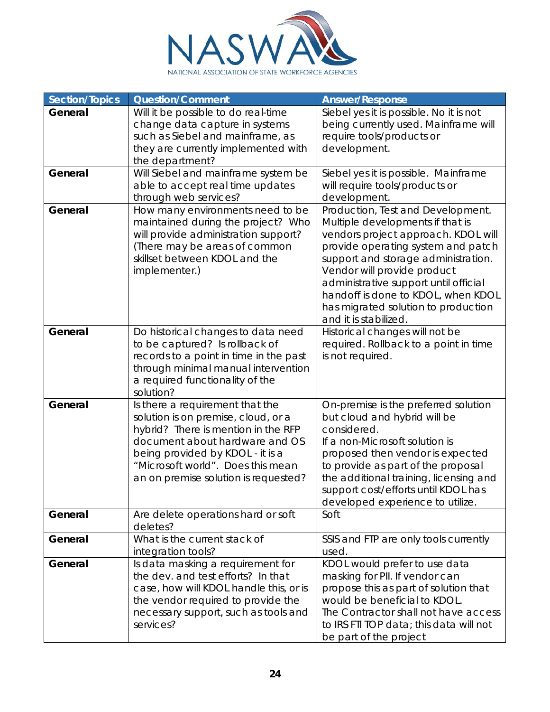

| <b>Section/Topics</b> | <b>Question/Comment</b>                                                                                                                                                                                                                                          | <b>Answer/Response</b>                                                                                                                                                                                                                                                                                                                                                  |
|-----------------------|------------------------------------------------------------------------------------------------------------------------------------------------------------------------------------------------------------------------------------------------------------------|-------------------------------------------------------------------------------------------------------------------------------------------------------------------------------------------------------------------------------------------------------------------------------------------------------------------------------------------------------------------------|
| General               | Will it be possible to do real-time                                                                                                                                                                                                                              | Siebel yes it is possible. No it is not                                                                                                                                                                                                                                                                                                                                 |
|                       | change data capture in systems                                                                                                                                                                                                                                   | being currently used. Mainframe will                                                                                                                                                                                                                                                                                                                                    |
|                       | such as Siebel and mainframe, as                                                                                                                                                                                                                                 | require tools/products or                                                                                                                                                                                                                                                                                                                                               |
|                       | they are currently implemented with                                                                                                                                                                                                                              | development.                                                                                                                                                                                                                                                                                                                                                            |
|                       | the department?                                                                                                                                                                                                                                                  |                                                                                                                                                                                                                                                                                                                                                                         |
| General               | Will Siebel and mainframe system be                                                                                                                                                                                                                              | Siebel yes it is possible. Mainframe                                                                                                                                                                                                                                                                                                                                    |
|                       | able to accept real time updates                                                                                                                                                                                                                                 | will require tools/products or                                                                                                                                                                                                                                                                                                                                          |
|                       | through web services?                                                                                                                                                                                                                                            | development.                                                                                                                                                                                                                                                                                                                                                            |
| General               | How many environments need to be<br>maintained during the project? Who<br>will provide administration support?<br>(There may be areas of common<br>skillset between KDOL and the<br>implementer.)                                                                | Production, Test and Development.<br>Multiple developments if that is<br>vendors project approach. KDOL will<br>provide operating system and patch<br>support and storage administration.<br>Vendor will provide product<br>administrative support until official<br>handoff is done to KDOL, when KDOL<br>has migrated solution to production<br>and it is stabilized. |
| General               | Do historical changes to data need<br>to be captured? Is rollback of<br>records to a point in time in the past<br>through minimal manual intervention<br>a required functionality of the<br>solution?                                                            | Historical changes will not be<br>required. Rollback to a point in time<br>is not required.                                                                                                                                                                                                                                                                             |
| General               | Is there a requirement that the<br>solution is on premise, cloud, or a<br>hybrid? There is mention in the RFP<br>document about hardware and OS<br>being provided by KDOL - it is a<br>"Microsoft world". Does this mean<br>an on premise solution is requested? | On-premise is the preferred solution<br>but cloud and hybrid will be<br>considered.<br>If a non-Microsoft solution is<br>proposed then vendor is expected<br>to provide as part of the proposal<br>the additional training, licensing and<br>support cost/efforts until KDOL has<br>developed experience to utilize.                                                    |
| General               | Are delete operations hard or soft<br>deletes?                                                                                                                                                                                                                   | Soft                                                                                                                                                                                                                                                                                                                                                                    |
| General               | What is the current stack of<br>integration tools?                                                                                                                                                                                                               | SSIS and FTP are only tools currently<br>used.                                                                                                                                                                                                                                                                                                                          |
| General               | Is data masking a requirement for<br>the dev. and test efforts? In that<br>case, how will KDOL handle this, or is<br>the vendor required to provide the<br>necessary support, such as tools and<br>services?                                                     | KDOL would prefer to use data<br>masking for PII. If vendor can<br>propose this as part of solution that<br>would be beneficial to KDOL.<br>The Contractor shall not have access<br>to IRS FTI TOP data; this data will not<br>be part of the project                                                                                                                   |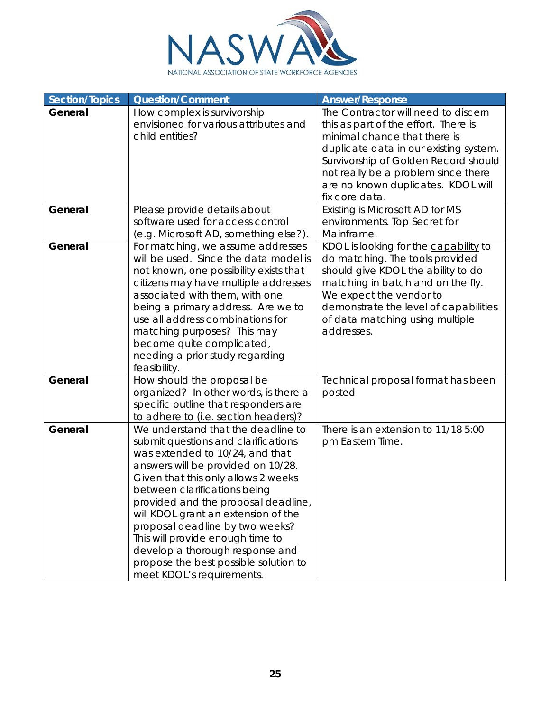

| Section/Topics | <b>Question/Comment</b>                                                                                                                                                                                                                                                                                                                                                                                                                                                                 | <b>Answer/Response</b>                                                                                                                                                                                                                                                                       |
|----------------|-----------------------------------------------------------------------------------------------------------------------------------------------------------------------------------------------------------------------------------------------------------------------------------------------------------------------------------------------------------------------------------------------------------------------------------------------------------------------------------------|----------------------------------------------------------------------------------------------------------------------------------------------------------------------------------------------------------------------------------------------------------------------------------------------|
| General        | How complex is survivorship<br>envisioned for various attributes and<br>child entities?                                                                                                                                                                                                                                                                                                                                                                                                 | The Contractor will need to discern<br>this as part of the effort. There is<br>minimal chance that there is<br>duplicate data in our existing system.<br>Survivorship of Golden Record should<br>not really be a problem since there<br>are no known duplicates. KDOL will<br>fix core data. |
| General        | Please provide details about<br>software used for access control<br>(e.g. Microsoft AD, something else?).                                                                                                                                                                                                                                                                                                                                                                               | Existing is Microsoft AD for MS<br>environments. Top Secret for<br>Mainframe.                                                                                                                                                                                                                |
| General        | For matching, we assume addresses<br>will be used. Since the data model is<br>not known, one possibility exists that<br>citizens may have multiple addresses<br>associated with them, with one<br>being a primary address. Are we to<br>use all address combinations for<br>matching purposes? This may<br>become quite complicated,<br>needing a prior study regarding<br>feasibility.                                                                                                 | KDOL is looking for the capability to<br>do matching. The tools provided<br>should give KDOL the ability to do<br>matching in batch and on the fly.<br>We expect the vendor to<br>demonstrate the level of capabilities<br>of data matching using multiple<br>addresses.                     |
| General        | How should the proposal be<br>organized? In other words, is there a<br>specific outline that responders are<br>to adhere to (i.e. section headers)?                                                                                                                                                                                                                                                                                                                                     | Technical proposal format has been<br>posted                                                                                                                                                                                                                                                 |
| General        | We understand that the deadline to<br>submit questions and clarifications<br>was extended to 10/24, and that<br>answers will be provided on 10/28.<br>Given that this only allows 2 weeks<br>between clarifications being<br>provided and the proposal deadline,<br>will KDOL grant an extension of the<br>proposal deadline by two weeks?<br>This will provide enough time to<br>develop a thorough response and<br>propose the best possible solution to<br>meet KDOL's requirements. | There is an extension to 11/18 5:00<br>pm Eastern Time.                                                                                                                                                                                                                                      |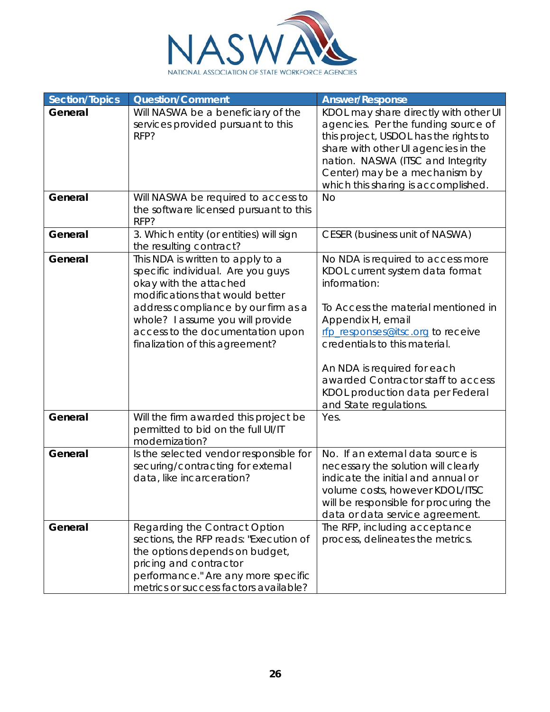

| Section/Topics     | <b>Question/Comment</b>                                                                                                                                                                                                                                                                                                        | <b>Answer/Response</b>                                                                                                                                                                                                                                                                                                                                            |
|--------------------|--------------------------------------------------------------------------------------------------------------------------------------------------------------------------------------------------------------------------------------------------------------------------------------------------------------------------------|-------------------------------------------------------------------------------------------------------------------------------------------------------------------------------------------------------------------------------------------------------------------------------------------------------------------------------------------------------------------|
| General            | Will NASWA be a beneficiary of the<br>services provided pursuant to this<br>RFP?                                                                                                                                                                                                                                               | KDOL may share directly with other UI<br>agencies. Per the funding source of<br>this project, USDOL has the rights to<br>share with other UI agencies in the<br>nation. NASWA (ITSC and Integrity<br>Center) may be a mechanism by<br>which this sharing is accomplished.                                                                                         |
| General            | Will NASWA be required to access to<br>the software licensed pursuant to this<br>RFP?                                                                                                                                                                                                                                          | <b>No</b>                                                                                                                                                                                                                                                                                                                                                         |
| General            | 3. Which entity (or entities) will sign<br>the resulting contract?                                                                                                                                                                                                                                                             | <b>CESER</b> (business unit of NASWA)                                                                                                                                                                                                                                                                                                                             |
| General<br>General | This NDA is written to apply to a<br>specific individual. Are you guys<br>okay with the attached<br>modifications that would better<br>address compliance by our firm as a<br>whole? I assume you will provide<br>access to the documentation upon<br>finalization of this agreement?<br>Will the firm awarded this project be | No NDA is required to access more<br>KDOL current system data format<br>information:<br>To Access the material mentioned in<br>Appendix H, email<br>rfp_responses@itsc.org to receive<br>credentials to this material.<br>An NDA is required for each<br>awarded Contractor staff to access<br>KDOL production data per Federal<br>and State regulations.<br>Yes. |
|                    | permitted to bid on the full UI/IT<br>modernization?                                                                                                                                                                                                                                                                           |                                                                                                                                                                                                                                                                                                                                                                   |
| General            | Is the selected vendor responsible for<br>securing/contracting for external<br>data, like incarceration?                                                                                                                                                                                                                       | No. If an external data source is<br>necessary the solution will clearly<br>indicate the initial and annual or<br>volume costs, however KDOL/ITSC<br>will be responsible for procuring the<br>data or data service agreement.                                                                                                                                     |
| General            | Regarding the Contract Option<br>sections, the RFP reads: "Execution of<br>the options depends on budget,<br>pricing and contractor<br>performance." Are any more specific<br>metrics or success factors available?                                                                                                            | The RFP, including acceptance<br>process, delineates the metrics.                                                                                                                                                                                                                                                                                                 |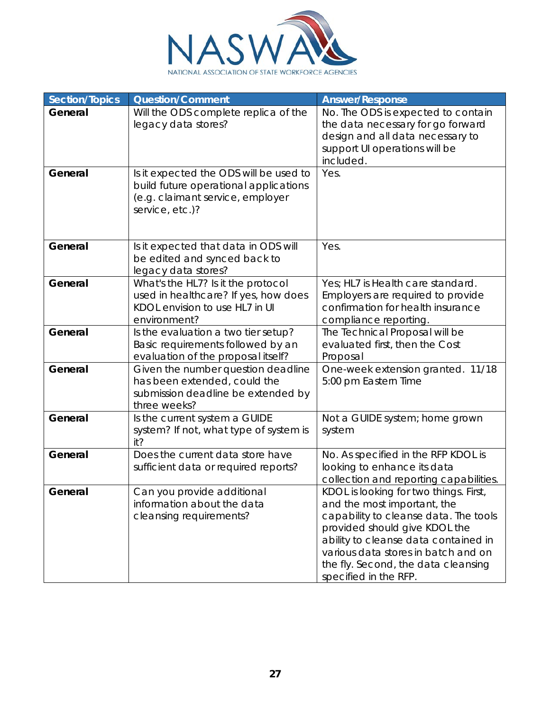

| <b>Section/Topics</b> | <b>Question/Comment</b>                                                                                                                | <b>Answer/Response</b>                                                                                                                                                                                                                                                                         |
|-----------------------|----------------------------------------------------------------------------------------------------------------------------------------|------------------------------------------------------------------------------------------------------------------------------------------------------------------------------------------------------------------------------------------------------------------------------------------------|
| General               | Will the ODS complete replica of the<br>legacy data stores?                                                                            | No. The ODS is expected to contain<br>the data necessary for go forward<br>design and all data necessary to<br>support UI operations will be<br>included.                                                                                                                                      |
| General               | Is it expected the ODS will be used to<br>build future operational applications<br>(e.g. claimant service, employer<br>service, etc.)? | Yes.                                                                                                                                                                                                                                                                                           |
| General               | Is it expected that data in ODS will<br>be edited and synced back to<br>legacy data stores?                                            | Yes.                                                                                                                                                                                                                                                                                           |
| General               | What's the HL7? Is it the protocol<br>used in healthcare? If yes, how does<br>KDOL envision to use HL7 in UI<br>environment?           | Yes; HL7 is Health care standard.<br>Employers are required to provide<br>confirmation for health insurance<br>compliance reporting.                                                                                                                                                           |
| General               | Is the evaluation a two tier setup?<br>Basic requirements followed by an<br>evaluation of the proposal itself?                         | The Technical Proposal will be<br>evaluated first, then the Cost<br>Proposal                                                                                                                                                                                                                   |
| General               | Given the number question deadline<br>has been extended, could the<br>submission deadline be extended by<br>three weeks?               | One-week extension granted. 11/18<br>5:00 pm Eastern Time                                                                                                                                                                                                                                      |
| General               | Is the current system a GUIDE<br>system? If not, what type of system is<br>it?                                                         | Not a GUIDE system; home grown<br>system                                                                                                                                                                                                                                                       |
| General               | Does the current data store have<br>sufficient data or required reports?                                                               | No. As specified in the RFP KDOL is<br>looking to enhance its data<br>collection and reporting capabilities.                                                                                                                                                                                   |
| General               | Can you provide additional<br>information about the data<br>cleansing requirements?                                                    | KDOL is looking for two things. First,<br>and the most important, the<br>capability to cleanse data. The tools<br>provided should give KDOL the<br>ability to cleanse data contained in<br>various data stores in batch and on<br>the fly. Second, the data cleansing<br>specified in the RFP. |